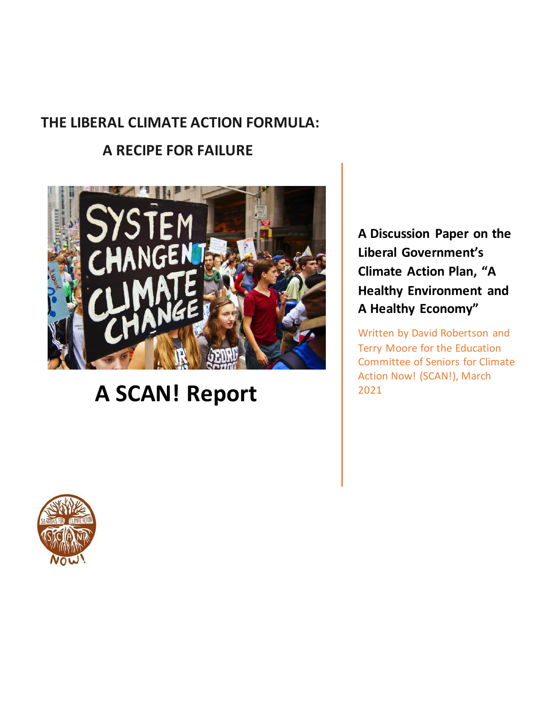# **THE LIBERAL CLIMATE ACTION FORMULA:**

# **A RECIPE FOR FAILURE**



# **A SCAN! Report**

**A Discussion Paper on the Liberal Government's Climate Action Plan, "A Healthy Environment and A Healthy Economy"**

Written by David Robertson and Terry Moore for the Education Committee of Seniors for Climate Action Now! (SCAN!), March 2021

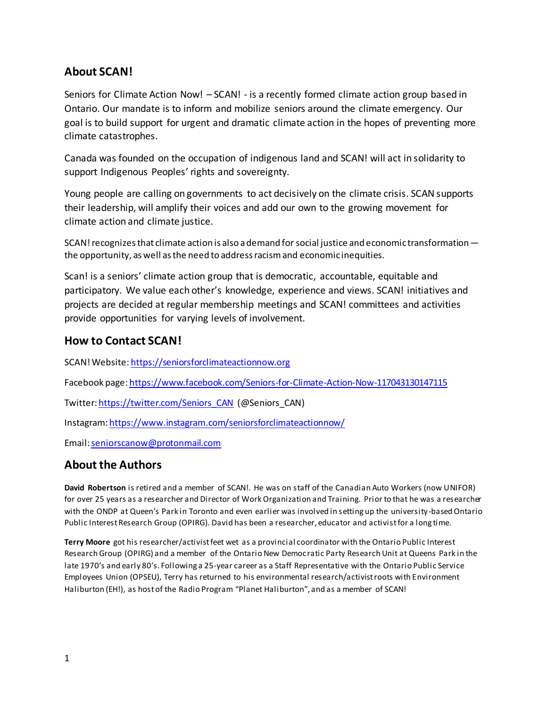### **About SCAN!**

Seniors for Climate Action Now! – SCAN! - is a recently formed climate action group based in Ontario. Our mandate is to inform and mobilize seniors around the climate emergency. Our goal is to build support for urgent and dramatic climate action in the hopes of preventing more climate catastrophes.

Canada was founded on the occupation of indigenous land and SCAN! will act in solidarity to support Indigenous Peoples' rights and sovereignty.

Young people are calling on governments to act decisively on the climate crisis. SCAN supports their leadership, will amplify their voices and add our own to the growing movement for climate action and climate justice.

SCAN! recognizes that climate action is also a demand for social justice and economic transformation the opportunity, as well as the need to address racism and economic inequities.

Scan! is a seniors' climate action group that is democratic, accountable, equitable and participatory. We value each other's knowledge, experience and views. SCAN! initiatives and projects are decided at regular membership meetings and SCAN! committees and activities provide opportunities for varying levels of involvement.

#### **How to Contact SCAN!**

SCAN! Website[: https://seniorsforclimateactionnow.org](https://seniorsforclimateactionnow.org/)

Facebook page[: https://www.facebook.com/Seniors-for-Climate-Action-Now-117043130147115](https://www.facebook.com/Seniors-for-Climate-Action-Now-117043130147115) 

Twitter[: https://twitter.com/Seniors\\_CAN](https://twitter.com/Seniors_CAN) (@Seniors\_CAN)

Instagram[: https://www.instagram.com/seniorsforclimateactionnow/](https://www.instagram.com/seniorsforclimateactionnow/)

Email[: seniorscanow@protonmail.com](mailto:seniorscanow@protonmail.com)

### **About the Authors**

**David Robertson** is retired and a member of SCAN!. He was on staff of the Canadian Auto Workers (now UNIFOR) for over 25 years as a researcher and Director of Work Organization and Training. Prior to that he was a researcher with the ONDP at Queen's Park in Toronto and even earlier was involved in setting up the university-based Ontario Public Interest Research Group (OPIRG). David has been a researcher, educator and activist for a long time.

**Terry Moore** got his researcher/activist feet wet as a provincial coordinator with the Ontario Public Interest Research Group (OPIRG) and a member of the Ontario New Democratic Party Research Unit at Queens Park in the late 1970's and early 80's. Following a 25-year career as a Staff Representative with the Ontario Public Service Employees Union (OPSEU), Terry has returned to his environmental research/activist roots with Environment Haliburton (EH!), as host of the Radio Program "Planet Haliburton", and as a member of SCAN!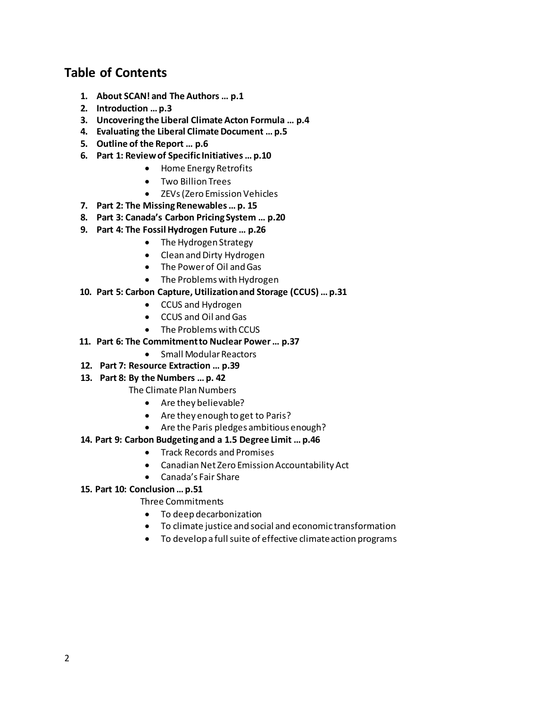### **Table of Contents**

- **1. About SCAN! and The Authors … p.1**
- **2. Introduction … p.3**
- **3. Uncovering the Liberal Climate Acton Formula … p.4**
- **4. Evaluating the Liberal Climate Document … p.5**
- **5. Outline of the Report … p.6**
- **6. Part 1: Review of Specific Initiatives … p.10** 
	- Home Energy Retrofits
	- Two Billion Trees
	- ZEVs (Zero Emission Vehicles
- **7. Part 2: The Missing Renewables … p. 15**
- **8. Part 3: Canada's Carbon Pricing System … p.20**
- **9. Part 4: The Fossil Hydrogen Future … p.26**
	- The Hydrogen Strategy
	- Clean and Dirty Hydrogen
	- The Power of Oil and Gas
	- The Problems with Hydrogen

#### **10. Part 5: Carbon Capture, Utilization and Storage (CCUS) … p.31**

- CCUS and Hydrogen
- CCUS and Oil and Gas
- The Problems with CCUS
- **11. Part 6: The Commitment to Nuclear Power … p.37**
	- Small Modular Reactors
- **12. Part 7: Resource Extraction … p.39**

#### **13. Part 8: By the Numbers … p. 42**

- The Climate Plan Numbers
	- Are they believable?
	- Are they enough to get to Paris?
	- Are the Paris pledges ambitious enough?

#### **14. Part 9: Carbon Budgeting and a 1.5 Degree Limit … p.46**

- Track Records and Promises
- Canadian Net Zero Emission Accountability Act
- Canada's Fair Share
- **15. Part 10: Conclusion … p.51**

#### Three Commitments

- To deep decarbonization
- To climate justice and social and economic transformation
- To develop a full suite of effective climate action programs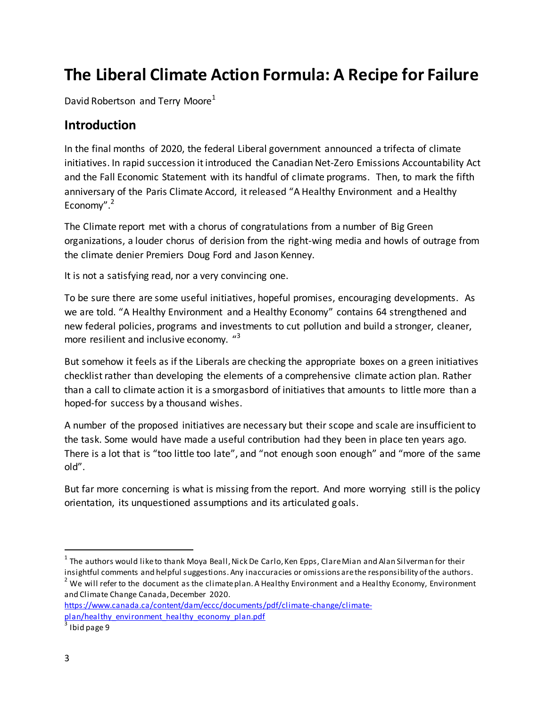# **The Liberal Climate Action Formula: A Recipe for Failure**

David Robertson and Terry Moore<sup>1</sup>

### **Introduction**

In the final months of 2020, the federal Liberal government announced a trifecta of climate initiatives. In rapid succession it introduced the Canadian Net-Zero Emissions Accountability Act and the Fall Economic Statement with its handful of climate programs. Then, to mark the fifth anniversary of the Paris Climate Accord, it released "A Healthy Environment and a Healthy Economy".<sup>2</sup>

The Climate report met with a chorus of congratulations from a number of Big Green organizations, a louder chorus of derision from the right-wing media and howls of outrage from the climate denier Premiers Doug Ford and Jason Kenney.

It is not a satisfying read, nor a very convincing one.

To be sure there are some useful initiatives, hopeful promises, encouraging developments. As we are told. "A Healthy Environment and a Healthy Economy" contains 64 strengthened and new federal policies, programs and investments to cut pollution and build a stronger, cleaner, more resilient and inclusive economy. "<sup>3</sup>

But somehow it feels as if the Liberals are checking the appropriate boxes on a green initiatives checklist rather than developing the elements of a comprehensive climate action plan. Rather than a call to climate action it is a smorgasbord of initiatives that amounts to little more than a hoped-for success by a thousand wishes.

A number of the proposed initiatives are necessary but their scope and scale are insufficient to the task. Some would have made a useful contribution had they been in place ten years ago. There is a lot that is "too little too late", and "not enough soon enough" and "more of the same old".

But far more concerning is what is missing from the report. And more worrying still is the policy orientation, its unquestioned assumptions and its articulated goals.

 $^{2}$  We will refer to the document as the climate plan. A Healthy Environment and a Healthy Economy, Environment and Climate Change Canada, December 2020.

 $^{\rm 1}$  The authors would like to thank Moya Beall, Nick De Carlo, Ken Epps, Clare Mian and Alan Silverman for their insightful comments and helpful suggestions. Any inaccuracies or omissions are the responsibility of the authors.

[https://www.canada.ca/content/dam/eccc/documents/pdf/climate-change/climate](https://www.canada.ca/content/dam/eccc/documents/pdf/climate-change/climate-plan/healthy_environment_healthy_economy_plan.pdf)plan/healthy\_environment\_healthy\_economy\_plan.pdf<br>3 Ibid page 9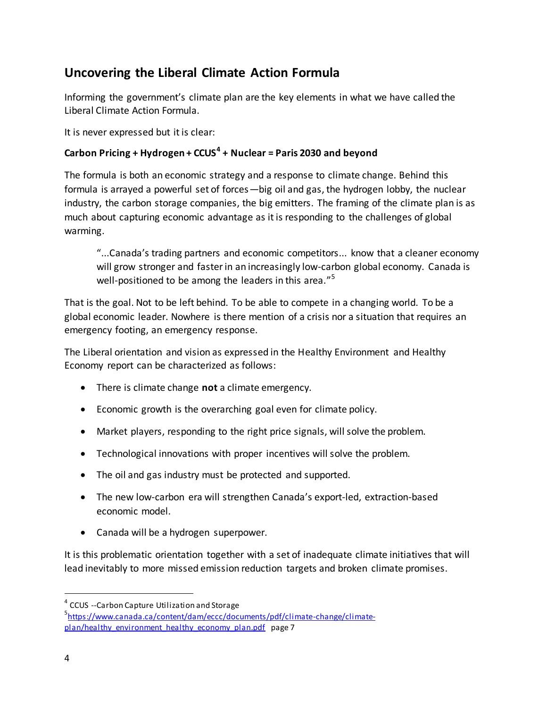## **Uncovering the Liberal Climate Action Formula**

Informing the government's climate plan are the key elements in what we have called the Liberal Climate Action Formula.

It is never expressed but it is clear:

#### **Carbon Pricing + Hydrogen + CCUS<sup>4</sup> + Nuclear = Paris 2030 and beyond**

The formula is both an economic strategy and a response to climate change. Behind this formula is arrayed a powerful set of forces—big oil and gas, the hydrogen lobby, the nuclear industry, the carbon storage companies, the big emitters. The framing of the climate plan is as much about capturing economic advantage as it is responding to the challenges of global warming.

"...Canada's trading partners and economic competitors... know that a cleaner economy will grow stronger and faster in an increasingly low-carbon global economy. Canada is well-positioned to be among the leaders in this area."<sup>5</sup>

That is the goal. Not to be left behind. To be able to compete in a changing world. To be a global economic leader. Nowhere is there mention of a crisis nor a situation that requires an emergency footing, an emergency response.

The Liberal orientation and vision as expressed in the Healthy Environment and Healthy Economy report can be characterized as follows:

- There is climate change **not** a climate emergency.
- Economic growth is the overarching goal even for climate policy.
- Market players, responding to the right price signals, will solve the problem.
- Technological innovations with proper incentives will solve the problem.
- The oil and gas industry must be protected and supported.
- The new low-carbon era will strengthen Canada's export-led, extraction-based economic model.
- Canada will be a hydrogen superpower.

It is this problematic orientation together with a set of inadequate climate initiatives that will lead inevitably to more missed emission reduction targets and broken climate promises.

<sup>&</sup>lt;sup>4</sup> CCUS --Carbon Capture Utilization and Storage

<sup>5</sup> [https://www.canada.ca/content/dam/eccc/documents/pdf/climate-change/climate](https://www.canada.ca/content/dam/eccc/documents/pdf/climate-change/climate-plan/healthy_environment_healthy_economy_plan.pdf)[plan/healthy\\_environment\\_healthy\\_economy\\_plan.pdf](https://www.canada.ca/content/dam/eccc/documents/pdf/climate-change/climate-plan/healthy_environment_healthy_economy_plan.pdf) page 7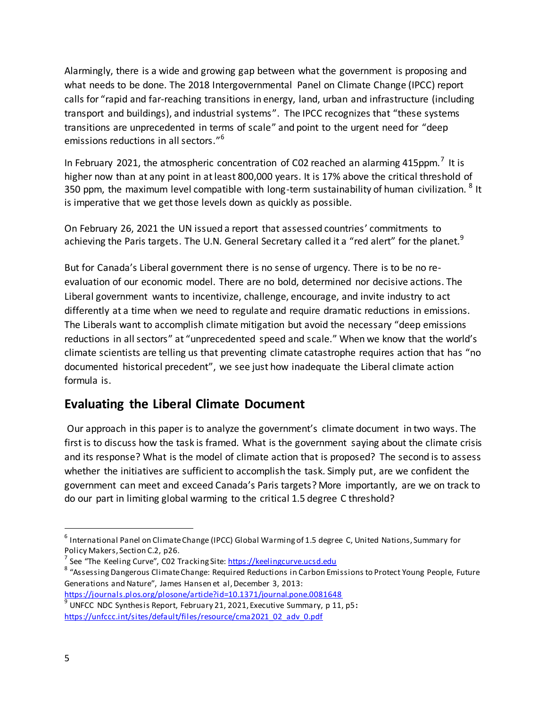Alarmingly, there is a wide and growing gap between what the government is proposing and what needs to be done. The 2018 Intergovernmental Panel on Climate Change (IPCC) report calls for "rapid and far-reaching transitions in energy, land, urban and infrastructure (including transport and buildings), and industrial systems". The IPCC recognizes that "these systems transitions are unprecedented in terms of scale" and point to the urgent need for "deep emissions reductions in all sectors."<sup>6</sup>

In February 2021, the atmospheric concentration of C02 reached an alarming 415ppm.<sup>7</sup> It is higher now than at any point in at least 800,000 years. It is 17% above the critical threshold of 350 ppm, the maximum level compatible with long-term sustainability of human civilization.  $8$  It is imperative that we get those levels down as quickly as possible.

On February 26, 2021 the UN issued a report that assessed countries' commitments to achieving the Paris targets. The U.N. General Secretary called it a "red alert" for the planet.<sup>9</sup>

But for Canada's Liberal government there is no sense of urgency. There is to be no reevaluation of our economic model. There are no bold, determined nor decisive actions. The Liberal government wants to incentivize, challenge, encourage, and invite industry to act differently at a time when we need to regulate and require dramatic reductions in emissions. The Liberals want to accomplish climate mitigation but avoid the necessary "deep emissions reductions in all sectors" at "unprecedented speed and scale." When we know that the world's climate scientists are telling us that preventing climate catastrophe requires action that has "no documented historical precedent", we see just how inadequate the Liberal climate action formula is.

### **Evaluating the Liberal Climate Document**

 Our approach in this paper is to analyze the government's climate document in two ways. The first is to discuss how the task is framed. What is the government saying about the climate crisis and its response? What is the model of climate action that is proposed? The second is to assess whether the initiatives are sufficient to accomplish the task. Simply put, are we confident the government can meet and exceed Canada's Paris targets? More importantly, are we on track to do our part in limiting global warming to the critical 1.5 degree C threshold?

<sup>&</sup>lt;sup>6</sup> International Panel on Climate Change (IPCC) Global Warming of 1.5 degree C, United Nations, Summary for Policy Makers, Section C.2, p26.

<sup>&</sup>lt;sup>7</sup> See "The Keeling Curve", C02 Tracking Site: <u>https://keelingcurve.ucsd.edu</u>

<sup>8 &</sup>quot;Assessing Dangerous Climate Change: Required Reductions in Carbon Emissions to Protect Young People, Future Generations and Nature", James Hansen et al, December 3, 2013:

<https://journals.plos.org/plosone/article?id=10.1371/journal.pone.0081648>

<sup>9</sup> UNFCC NDC Synthesis Report, February 21, 2021, Executive Summary, p 11, p5**:** [https://unfccc.int/sites/default/files/resource/cma2021\\_02\\_adv\\_0.pdf](https://unfccc.int/sites/default/files/resource/cma2021_02_adv_0.pdf)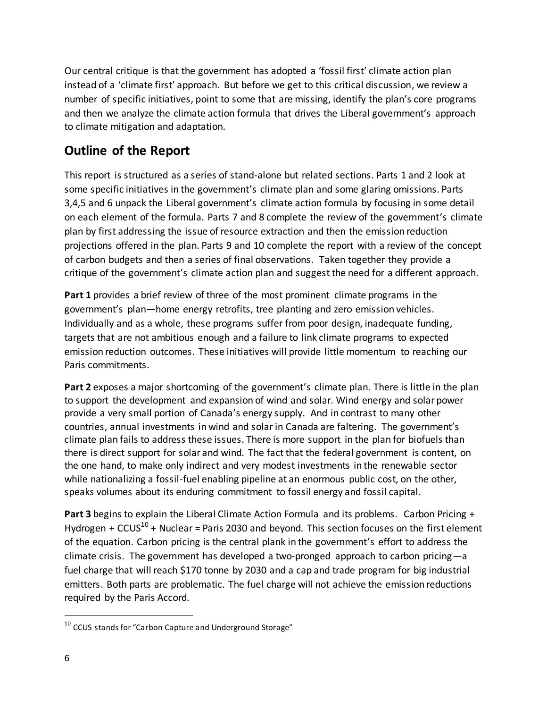Our central critique is that the government has adopted a 'fossil first' climate action plan instead of a 'climate first' approach. But before we get to this critical discussion, we review a number of specific initiatives, point to some that are missing, identify the plan's core programs and then we analyze the climate action formula that drives the Liberal government's approach to climate mitigation and adaptation.

## **Outline of the Report**

This report is structured as a series of stand-alone but related sections. Parts 1 and 2 look at some specific initiatives in the government's climate plan and some glaring omissions. Parts 3,4,5 and 6 unpack the Liberal government's climate action formula by focusing in some detail on each element of the formula. Parts 7 and 8 complete the review of the government's climate plan by first addressing the issue of resource extraction and then the emission reduction projections offered in the plan. Parts 9 and 10 complete the report with a review of the concept of carbon budgets and then a series of final observations. Taken together they provide a critique of the government's climate action plan and suggest the need for a different approach.

**Part 1** provides a brief review of three of the most prominent climate programs in the government's plan—home energy retrofits, tree planting and zero emission vehicles. Individually and as a whole, these programs suffer from poor design, inadequate funding, targets that are not ambitious enough and a failure to link climate programs to expected emission reduction outcomes. These initiatives will provide little momentum to reaching our Paris commitments.

**Part 2** exposes a major shortcoming of the government's climate plan. There is little in the plan to support the development and expansion of wind and solar. Wind energy and solar power provide a very small portion of Canada's energy supply. And in contrast to many other countries, annual investments in wind and solar in Canada are faltering. The government's climate plan fails to address these issues. There is more support in the plan for biofuels than there is direct support for solar and wind. The fact that the federal government is content, on the one hand, to make only indirect and very modest investments in the renewable sector while nationalizing a fossil-fuel enabling pipeline at an enormous public cost, on the other, speaks volumes about its enduring commitment to fossil energy and fossil capital.

**Part 3** begins to explain the Liberal Climate Action Formula and its problems. Carbon Pricing + Hydrogen +  $CCUS^{10}$  + Nuclear = Paris 2030 and beyond. This section focuses on the first element of the equation. Carbon pricing is the central plank in the government's effort to address the climate crisis. The government has developed a two-pronged approach to carbon pricing—a fuel charge that will reach \$170 tonne by 2030 and a cap and trade program for big industrial emitters. Both parts are problematic. The fuel charge will not achieve the emission reductions required by the Paris Accord.

 $10$  CCUS stands for "Carbon Capture and Underground Storage"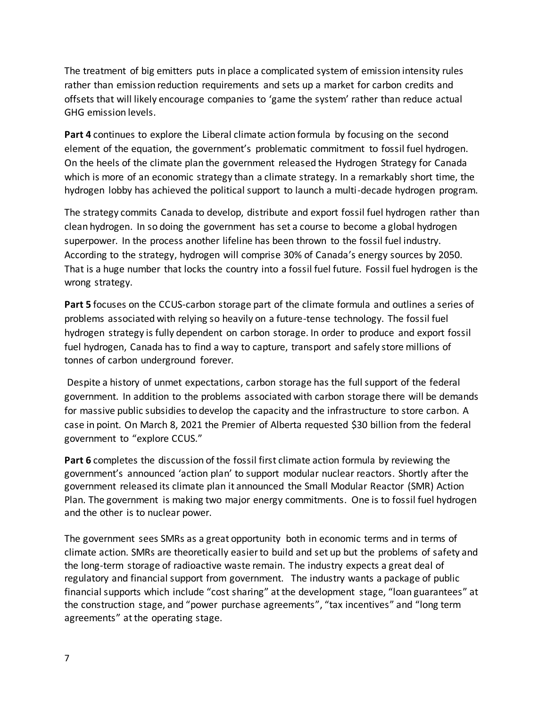The treatment of big emitters puts in place a complicated system of emission intensity rules rather than emission reduction requirements and sets up a market for carbon credits and offsets that will likely encourage companies to 'game the system' rather than reduce actual GHG emission levels.

**Part 4** continues to explore the Liberal climate action formula by focusing on the second element of the equation, the government's problematic commitment to fossil fuel hydrogen. On the heels of the climate plan the government released the Hydrogen Strategy for Canada which is more of an economic strategy than a climate strategy. In a remarkably short time, the hydrogen lobby has achieved the political support to launch a multi-decade hydrogen program.

The strategy commits Canada to develop, distribute and export fossil fuel hydrogen rather than clean hydrogen. In so doing the government has set a course to become a global hydrogen superpower. In the process another lifeline has been thrown to the fossil fuel industry. According to the strategy, hydrogen will comprise 30% of Canada's energy sources by 2050. That is a huge number that locks the country into a fossil fuel future. Fossil fuel hydrogen is the wrong strategy.

Part 5 focuses on the CCUS-carbon storage part of the climate formula and outlines a series of problems associated with relying so heavily on a future-tense technology. The fossil fuel hydrogen strategy is fully dependent on carbon storage. In order to produce and export fossil fuel hydrogen, Canada has to find a way to capture, transport and safely store millions of tonnes of carbon underground forever.

 Despite a history of unmet expectations, carbon storage has the full support of the federal government. In addition to the problems associated with carbon storage there will be demands for massive public subsidies to develop the capacity and the infrastructure to store carbon. A case in point. On March 8, 2021 the Premier of Alberta requested \$30 billion from the federal government to "explore CCUS."

**Part 6** completes the discussion of the fossil first climate action formula by reviewing the government's announced 'action plan' to support modular nuclear reactors. Shortly after the government released its climate plan it announced the Small Modular Reactor (SMR) Action Plan. The government is making two major energy commitments. One is to fossil fuel hydrogen and the other is to nuclear power.

The government sees SMRs as a great opportunity both in economic terms and in terms of climate action. SMRs are theoretically easier to build and set up but the problems of safety and the long-term storage of radioactive waste remain. The industry expects a great deal of regulatory and financial support from government. The industry wants a package of public financial supports which include "cost sharing" at the development stage, "loan guarantees" at the construction stage, and "power purchase agreements", "tax incentives" and "long term agreements" at the operating stage.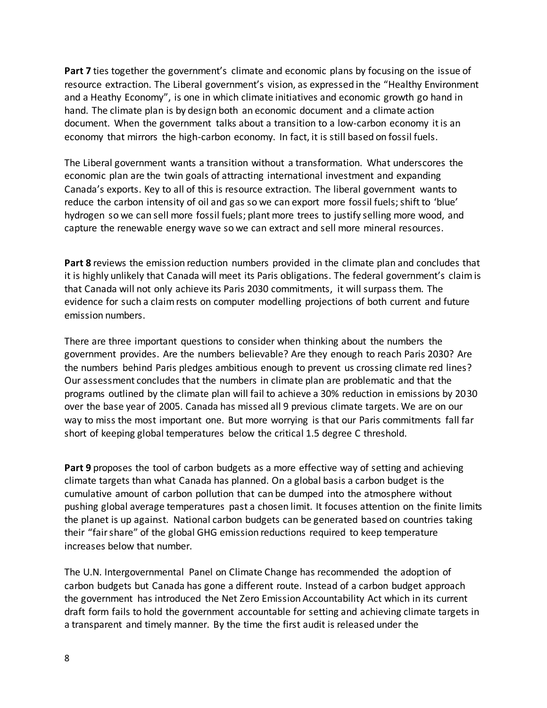**Part 7** ties together the government's climate and economic plans by focusing on the issue of resource extraction. The Liberal government's vision, as expressed in the "Healthy Environment and a Heathy Economy", is one in which climate initiatives and economic growth go hand in hand. The climate plan is by design both an economic document and a climate action document. When the government talks about a transition to a low-carbon economy it is an economy that mirrors the high-carbon economy. In fact, it is still based on fossil fuels.

The Liberal government wants a transition without a transformation. What underscores the economic plan are the twin goals of attracting international investment and expanding Canada's exports. Key to all of this is resource extraction. The liberal government wants to reduce the carbon intensity of oil and gas so we can export more fossil fuels; shift to 'blue' hydrogen so we can sell more fossil fuels; plant more trees to justify selling more wood, and capture the renewable energy wave so we can extract and sell more mineral resources.

**Part 8** reviews the emission reduction numbers provided in the climate plan and concludes that it is highly unlikely that Canada will meet its Paris obligations. The federal government's claim is that Canada will not only achieve its Paris 2030 commitments, it will surpass them. The evidence for such a claim rests on computer modelling projections of both current and future emission numbers.

There are three important questions to consider when thinking about the numbers the government provides. Are the numbers believable? Are they enough to reach Paris 2030? Are the numbers behind Paris pledges ambitious enough to prevent us crossing climate red lines? Our assessment concludes that the numbers in climate plan are problematic and that the programs outlined by the climate plan will fail to achieve a 30% reduction in emissions by 2030 over the base year of 2005. Canada has missed all 9 previous climate targets. We are on our way to miss the most important one. But more worrying is that our Paris commitments fall far short of keeping global temperatures below the critical 1.5 degree C threshold.

**Part 9** proposes the tool of carbon budgets as a more effective way of setting and achieving climate targets than what Canada has planned. On a global basis a carbon budget is the cumulative amount of carbon pollution that can be dumped into the atmosphere without pushing global average temperatures past a chosen limit. It focuses attention on the finite limits the planet is up against. National carbon budgets can be generated based on countries taking their "fair share" of the global GHG emission reductions required to keep temperature increases below that number.

The U.N. Intergovernmental Panel on Climate Change has recommended the adoption of carbon budgets but Canada has gone a different route. Instead of a carbon budget approach the government has introduced the Net Zero Emission Accountability Act which in its current draft form fails to hold the government accountable for setting and achieving climate targets in a transparent and timely manner. By the time the first audit is released under the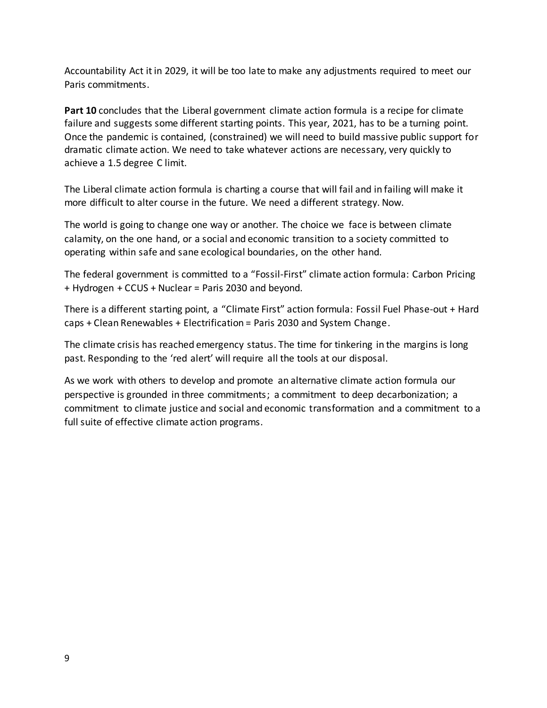Accountability Act it in 2029, it will be too late to make any adjustments required to meet our Paris commitments.

**Part 10** concludes that the Liberal government climate action formula is a recipe for climate failure and suggests some different starting points. This year, 2021, has to be a turning point. Once the pandemic is contained, (constrained) we will need to build massive public support for dramatic climate action. We need to take whatever actions are necessary, very quickly to achieve a 1.5 degree C limit.

The Liberal climate action formula is charting a course that will fail and in failing will make it more difficult to alter course in the future. We need a different strategy. Now.

The world is going to change one way or another. The choice we face is between climate calamity, on the one hand, or a social and economic transition to a society committed to operating within safe and sane ecological boundaries, on the other hand.

The federal government is committed to a "Fossil-First" climate action formula: Carbon Pricing + Hydrogen + CCUS + Nuclear = Paris 2030 and beyond.

There is a different starting point, a "Climate First" action formula: Fossil Fuel Phase-out + Hard caps + Clean Renewables + Electrification = Paris 2030 and System Change.

The climate crisis has reached emergency status. The time for tinkering in the margins is long past. Responding to the 'red alert' will require all the tools at our disposal.

As we work with others to develop and promote an alternative climate action formula our perspective is grounded in three commitments; a commitment to deep decarbonization; a commitment to climate justice and social and economic transformation and a commitment to a full suite of effective climate action programs.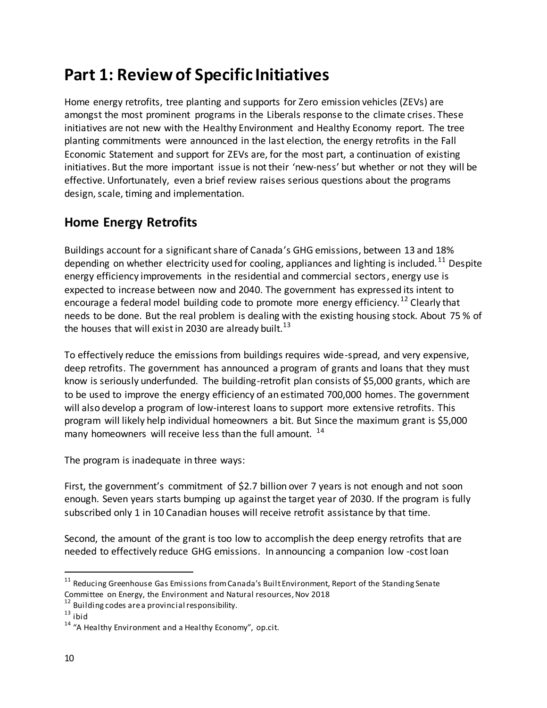# **Part 1: Review of Specific Initiatives**

Home energy retrofits, tree planting and supports for Zero emission vehicles (ZEVs) are amongst the most prominent programs in the Liberals response to the climate crises. These initiatives are not new with the Healthy Environment and Healthy Economy report. The tree planting commitments were announced in the last election, the energy retrofits in the Fall Economic Statement and support for ZEVs are, for the most part, a continuation of existing initiatives. But the more important issue is not their 'new-ness' but whether or not they will be effective. Unfortunately, even a brief review raises serious questions about the programs design, scale, timing and implementation.

## **Home Energy Retrofits**

Buildings account for a significant share of Canada's GHG emissions, between 13 and 18% depending on whether electricity used for cooling, appliances and lighting is included.<sup>11</sup> Despite energy efficiency improvements in the residential and commercial sectors , energy use is expected to increase between now and 2040. The government has expressed its intent to encourage a federal model building code to promote more energy efficiency.<sup>12</sup> Clearly that needs to be done. But the real problem is dealing with the existing housing stock. About 75 % of the houses that will exist in 2030 are already built.<sup>13</sup>

To effectively reduce the emissions from buildings requires wide-spread, and very expensive, deep retrofits. The government has announced a program of grants and loans that they must know is seriously underfunded. The building-retrofit plan consists of \$5,000 grants, which are to be used to improve the energy efficiency of an estimated 700,000 homes. The government will also develop a program of low-interest loans to support more extensive retrofits. This program will likely help individual homeowners a bit. But Since the maximum grant is \$5,000 many homeowners will receive less than the full amount.<sup>14</sup>

The program is inadequate in three ways:

First, the government's commitment of \$2.7 billion over 7 years is not enough and not soon enough. Seven years starts bumping up against the target year of 2030. If the program is fully subscribed only 1 in 10 Canadian houses will receive retrofit assistance by that time.

Second, the amount of the grant is too low to accomplish the deep energy retrofits that are needed to effectively reduce GHG emissions. In announcing a companion low -cost loan

 $11$  Reducing Greenhouse Gas Emissions from Canada's Built Environment, Report of the Standing Senate Committee on Energy, the Environment and Natural resources, Nov 2018

<sup>&</sup>lt;sup>12</sup> Building codes are a provincial responsibility.

 $13$  ibid

 $14$  "A Healthy Environment and a Healthy Economy", op.cit.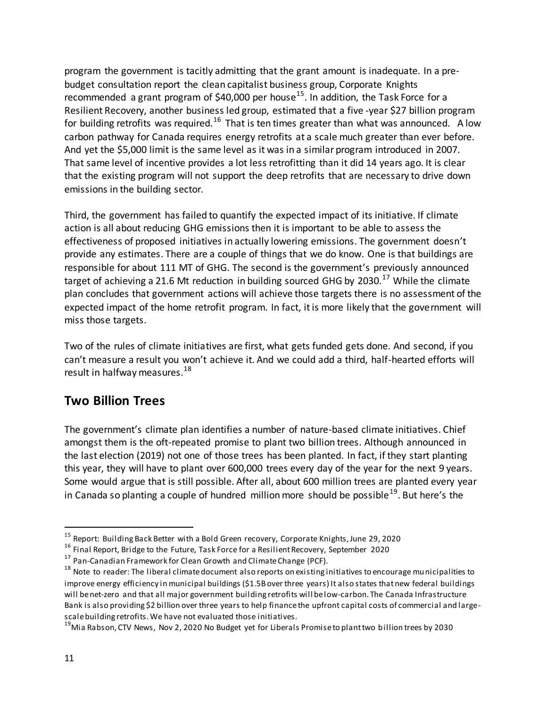program the government is tacitly admitting that the grant amount is inadequate. In a prebudget consultation report the clean capitalist business group, Corporate Knights recommended a grant program of \$40,000 per house<sup>15</sup>. In addition, the Task Force for a Resilient Recovery, another business led group, estimated that a five -year \$27 billion program for building retrofits was required.<sup>16</sup> That is ten times greater than what was announced. A low carbon pathway for Canada requires energy retrofits at a scale much greater than ever before. And yet the \$5,000 limit is the same level as it was in a similar program introduced in 2007. That same level of incentive provides a lot less retrofitting than it did 14 years ago. It is clear that the existing program will not support the deep retrofits that are necessary to drive down emissions in the building sector.

Third, the government has failed to quantify the expected impact of its initiative. If climate action is all about reducing GHG emissions then it is important to be able to assess the effectiveness of proposed initiatives in actually lowering emissions. The government doesn't provide any estimates. There are a couple of things that we do know. One is that buildings are responsible for about 111 MT of GHG. The second is the government's previously announced target of achieving a 21.6 Mt reduction in building sourced GHG by 2030.<sup>17</sup> While the climate plan concludes that government actions will achieve those targets there is no assessment of the expected impact of the home retrofit program. In fact, it is more likely that the government will miss those targets.

Two of the rules of climate initiatives are first, what gets funded gets done. And second, if you can't measure a result you won't achieve it. And we could add a third, half-hearted efforts will result in halfway measures.<sup>18</sup>

### **Two Billion Trees**

The government's climate plan identifies a number of nature-based climate initiatives. Chief amongst them is the oft-repeated promise to plant two billion trees. Although announced in the last election (2019) not one of those trees has been planted. In fact, if they start planting this year, they will have to plant over 600,000 trees every day of the year for the next 9 years. Some would argue that is still possible. After all, about 600 million trees are planted every year in Canada so planting a couple of hundred million more should be possible<sup>19</sup>. But here's the

<sup>&</sup>lt;sup>15</sup> Report: Building Back Better with a Bold Green recovery, Corporate Knights, June 29, 2020

<sup>&</sup>lt;sup>16</sup> Final Report, Bridge to the Future, Task Force for a Resilient Recovery, September 2020

 $17$  Pan-Canadian Framework for Clean Growth and Climate Change (PCF).

<sup>&</sup>lt;sup>18</sup> Note to reader: The liberal climate document also reports on existing initiatives to encourage municipalities to improve energy efficiency in municipal buildings (\$1.5B over three years) It also states that new federal buildings will be net-zero and that all major government building retrofits will be low-carbon. The Canada Infrastructure Bank is also providing \$2 billion over three years to help finance the upfront capital costs of commercial and largescale building retrofits. We have not evaluated those initiatives.

<sup>&</sup>lt;sup>19</sup>Mia Rabson, CTV News, Nov 2, 2020 No Budget yet for Liberals Promise to plant two billion trees by 2030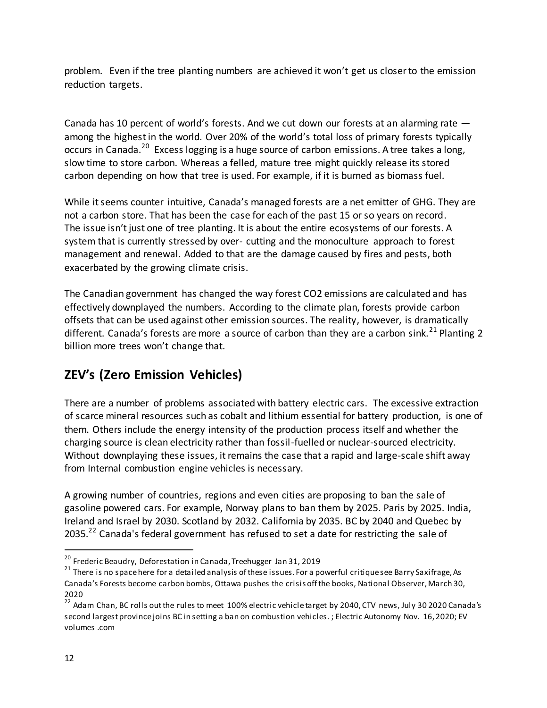problem. Even if the tree planting numbers are achieved it won't get us closer to the emission reduction targets.

Canada has 10 percent of world's forests. And we cut down our forests at an alarming rate among the highest in the world. Over 20% of the world's total loss of primary forests typically occurs in Canada.<sup>20</sup> Excess logging is a huge source of carbon emissions. A tree takes a long, slow time to store carbon. Whereas a felled, mature tree might quickly release its stored carbon depending on how that tree is used. For example, if it is burned as biomass fuel.

While it seems counter intuitive, Canada's managed forests are a net emitter of GHG. They are not a carbon store. That has been the case for each of the past 15 or so years on record. The issue isn't just one of tree planting. It is about the entire ecosystems of our forests. A system that is currently stressed by over- cutting and the monoculture approach to forest management and renewal. Added to that are the damage caused by fires and pests, both exacerbated by the growing climate crisis.

The Canadian government has changed the way forest CO2 emissions are calculated and has effectively downplayed the numbers. According to the climate plan, forests provide carbon offsets that can be used against other emission sources. The reality, however, is dramatically different. Canada's forests are more a source of carbon than they are a carbon sink.<sup>21</sup> Planting 2 billion more trees won't change that.

## **ZEV's (Zero Emission Vehicles)**

There are a number of problems associated with battery electric cars. The excessive extraction of scarce mineral resources such as cobalt and lithium essential for battery production, is one of them. Others include the energy intensity of the production process itself and whether the charging source is clean electricity rather than fossil-fuelled or nuclear-sourced electricity. Without downplaying these issues, it remains the case that a rapid and large-scale shift away from Internal combustion engine vehicles is necessary.

A growing number of countries, regions and even cities are proposing to ban the sale of gasoline powered cars. For example, Norway plans to ban them by 2025. Paris by 2025. India, Ireland and Israel by 2030. Scotland by 2032. California by 2035. BC by 2040 and Quebec by 2035.<sup>22</sup> Canada's federal government has refused to set a date for restricting the sale of

<sup>&</sup>lt;sup>20</sup> Frederic Beaudry, Deforestation in Canada, Treehugger Jan 31, 2019

 $21$  There is no space here for a detailed analysis of these issues. For a powerful critique see Barry Saxifrage, As Canada's Forests become carbon bombs, Ottawa pushes the crisis off the books, National Observer, March 30, 2020

<sup>&</sup>lt;sup>22</sup> Adam Chan, BC rolls out the rules to meet 100% electric vehicle target by 2040, CTV news, July 30 2020 Canada's second largest province joins BC in setting a ban on combustion vehicles. ; Electric Autonomy Nov. 16, 2020; EV volumes .com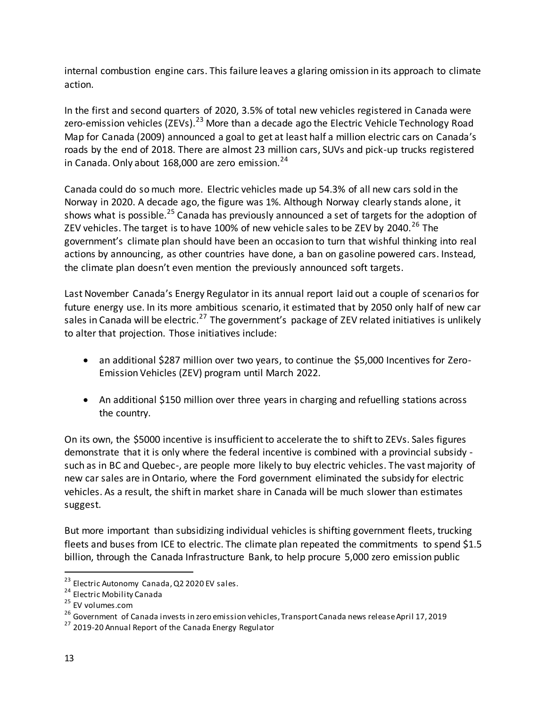internal combustion engine cars. This failure leaves a glaring omission in its approach to climate action.

In the first and second quarters of 2020, 3.5% of total new vehicles registered in Canada were zero-emission vehicles (ZEVs).<sup>23</sup> More than a decade ago the Electric Vehicle Technology Road Map for Canada (2009) announced a goal to get at least half a million electric cars on Canada's roads by the end of 2018. There are almost 23 million cars, SUVs and pick-up trucks registered in Canada. Only about 168,000 are zero emission. $^{24}$ 

Canada could do so much more. Electric vehicles made up 54.3% of all new cars sold in the Norway in 2020. A decade ago, the figure was 1%. Although Norway clearly stands alone, it shows what is possible.<sup>25</sup> Canada has previously announced a set of targets for the adoption of ZEV vehicles. The target is to have 100% of new vehicle sales to be ZEV by 2040.<sup>26</sup> The government's climate plan should have been an occasion to turn that wishful thinking into real actions by announcing, as other countries have done, a ban on gasoline powered cars. Instead, the climate plan doesn't even mention the previously announced soft targets.

Last November Canada's Energy Regulator in its annual report laid out a couple of scenarios for future energy use. In its more ambitious scenario, it estimated that by 2050 only half of new car sales in Canada will be electric.<sup>27</sup> The government's package of ZEV related initiatives is unlikely to alter that projection. Those initiatives include:

- an additional \$287 million over two years, to continue the \$5,000 Incentives for Zero-Emission Vehicles (ZEV) program until March 2022.
- An additional \$150 million over three years in charging and refuelling stations across the country.

On its own, the \$5000 incentive is insufficient to accelerate the to shift to ZEVs. Sales figures demonstrate that it is only where the federal incentive is combined with a provincial subsidy such as in BC and Quebec-, are people more likely to buy electric vehicles. The vast majority of new car sales are in Ontario, where the Ford government eliminated the subsidy for electric vehicles. As a result, the shift in market share in Canada will be much slower than estimates suggest.

But more important than subsidizing individual vehicles is shifting government fleets, trucking fleets and buses from ICE to electric. The climate plan repeated the commitments to spend \$1.5 billion, through the Canada Infrastructure Bank, to help procure 5,000 zero emission public

<sup>&</sup>lt;sup>23</sup> Electric Autonomy Canada, Q2 2020 EV sales.

<sup>24</sup> Electric Mobility Canada

<sup>25</sup> EV volumes.com

<sup>&</sup>lt;sup>26</sup> Government of Canada invests in zero emission vehicles, Transport Canada news release April 17, 2019

<sup>&</sup>lt;sup>27</sup> 2019-20 Annual Report of the Canada Energy Regulator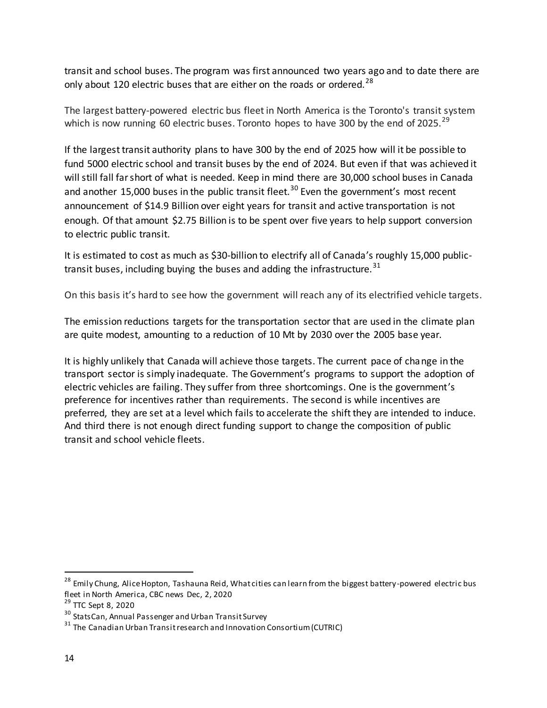transit and school buses. The program was first announced two years ago and to date there are only about 120 electric buses that are either on the roads or ordered.<sup>28</sup>

The largest battery-powered electric bus fleet in North America is the Toronto's transit system which is now running 60 electric buses. Toronto hopes to have 300 by the end of 2025. $^{29}$ 

If the largest transit authority plans to have 300 by the end of 2025 how will it be possible to fund 5000 electric school and transit buses by the end of 2024. But even if that was achieved it will still fall far short of what is needed. Keep in mind there are 30,000 school buses in Canada and another 15,000 buses in the public transit fleet.<sup>30</sup> Even the government's most recent announcement of \$14.9 Billion over eight years for transit and active transportation is not enough. Of that amount \$2.75 Billion is to be spent over five years to help support conversion to electric public transit.

It is estimated to cost as much as \$30-billion to electrify all of Canada's roughly 15,000 publictransit buses, including buying the buses and adding the infrastructure.  $31$ 

On this basis it's hard to see how the government will reach any of its electrified vehicle targets.

The emission reductions targets for the transportation sector that are used in the climate plan are quite modest, amounting to a reduction of 10 Mt by 2030 over the 2005 base year.

It is highly unlikely that Canada will achieve those targets. The current pace of change in the transport sector is simply inadequate. The Government's programs to support the adoption of electric vehicles are failing. They suffer from three shortcomings. One is the government's preference for incentives rather than requirements. The second is while incentives are preferred, they are set at a level which fails to accelerate the shift they are intended to induce. And third there is not enough direct funding support to change the composition of public transit and school vehicle fleets.

<sup>&</sup>lt;sup>28</sup> Emily Chung, Alice Hopton, Tashauna Reid, What cities can learn from the biggest battery-powered electric bus fleet in North America, CBC news Dec, 2, 2020

<sup>&</sup>lt;sup>29</sup> TTC Sept 8, 2020

<sup>&</sup>lt;sup>30</sup> StatsCan, Annual Passenger and Urban Transit Survey

 $31$  The Canadian Urban Transit research and Innovation Consortium (CUTRIC)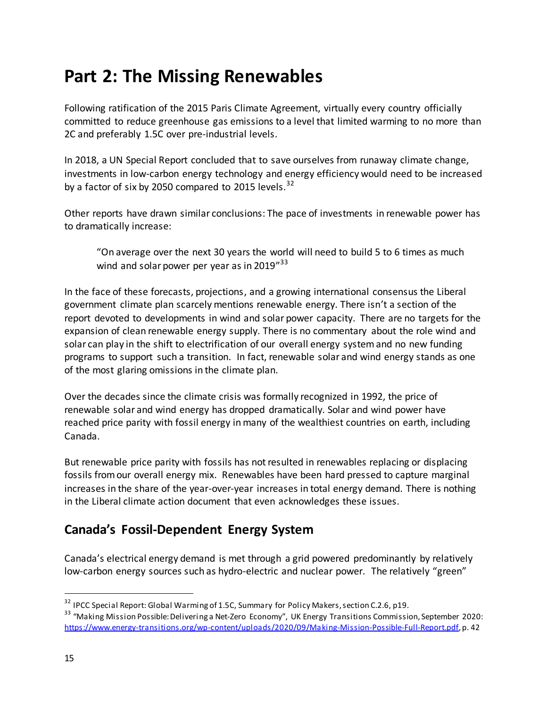# **Part 2: The Missing Renewables**

Following ratification of the 2015 Paris Climate Agreement, virtually every country officially committed to reduce greenhouse gas emissions to a level that limited warming to no more than 2C and preferably 1.5C over pre-industrial levels.

In 2018, a UN Special Report concluded that to save ourselves from runaway climate change, investments in low-carbon energy technology and energy efficiency would need to be increased by a factor of six by 2050 compared to 2015 levels. $32$ 

Other reports have drawn similar conclusions: The pace of investments in renewable power has to dramatically increase:

"On average over the next 30 years the world will need to build 5 to 6 times as much wind and solar power per year as in 2019"<sup>33</sup>

In the face of these forecasts, projections, and a growing international consensus the Liberal government climate plan scarcely mentions renewable energy. There isn't a section of the report devoted to developments in wind and solar power capacity. There are no targets for the expansion of clean renewable energy supply. There is no commentary about the role wind and solar can play in the shift to electrification of our overall energy system and no new funding programs to support such a transition. In fact, renewable solar and wind energy stands as one of the most glaring omissions in the climate plan.

Over the decades since the climate crisis was formally recognized in 1992, the price of renewable solar and wind energy has dropped dramatically. Solar and wind power have reached price parity with fossil energy in many of the wealthiest countries on earth, including Canada.

But renewable price parity with fossils has not resulted in renewables replacing or displacing fossils from our overall energy mix. Renewables have been hard pressed to capture marginal increases in the share of the year-over-year increases in total energy demand. There is nothing in the Liberal climate action document that even acknowledges these issues.

## **Canada's Fossil-Dependent Energy System**

Canada's electrical energy demand is met through a grid powered predominantly by relatively low-carbon energy sources such as hydro-electric and nuclear power. The relatively "green"

<sup>&</sup>lt;sup>32</sup> IPCC Special Report: Global Warming of 1.5C, Summary for Policy Makers, section C.2.6, p19.

<sup>33</sup> "Making Mission Possible: Delivering a Net-Zero Economy", UK Energy Transitions Commission, September 2020: [https://www.energy-transitions.org/wp-content/uploads/2020/09/Making-Mission-Possible-Full-Report.pdf,](https://www.energy-transitions.org/wp-content/uploads/2020/09/Making-Mission-Possible-Full-Report.pdf) p. 42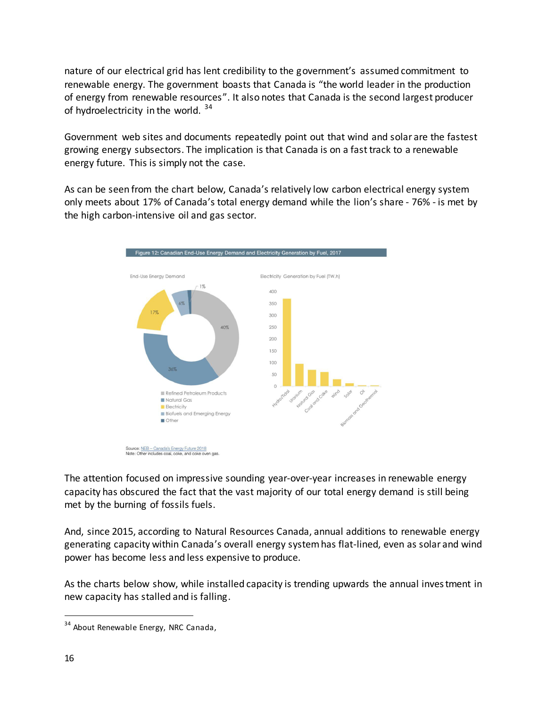nature of our electrical grid has lent credibility to the government's assumed commitment to renewable energy. The government boasts that Canada is "the world leader in the production of energy from renewable resources". It also notes that Canada is the second largest producer of hydroelectricity in the world.  $34$ 

Government web sites and documents repeatedly point out that wind and solar are the fastest growing energy subsectors. The implication is that Canada is on a fast track to a renewable energy future. This is simply not the case.

As can be seen from the chart below, Canada's relatively low carbon electrical energy system only meets about 17% of Canada's total energy demand while the lion's share - 76% - is met by the high carbon-intensive oil and gas sector.



The attention focused on impressive sounding year-over-year increases in renewable energy capacity has obscured the fact that the vast majority of our total energy demand is still being met by the burning of fossils fuels.

And, since 2015, according to Natural Resources Canada, annual additions to renewable energy generating capacity within Canada's overall energy system has flat-lined, even as solar and wind power has become less and less expensive to produce.

As the charts below show, while installed capacity is trending upwards the annual inves tment in new capacity has stalled and is falling.

<sup>&</sup>lt;sup>34</sup> About Renewable Energy, NRC Canada,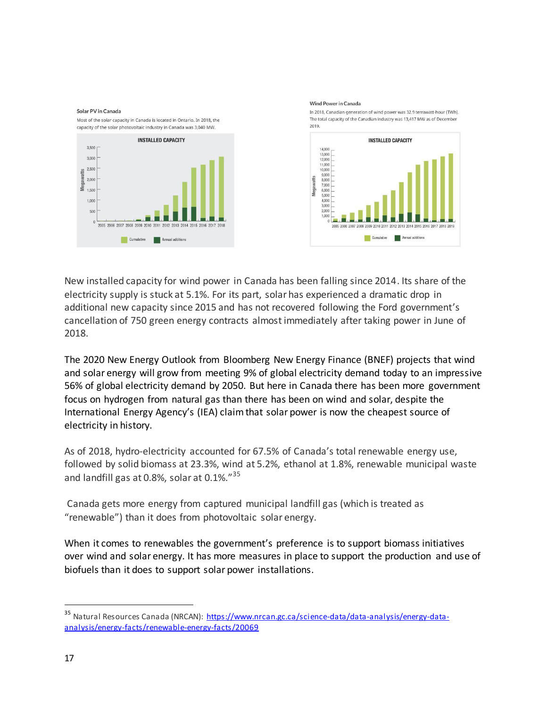

New installed capacity for wind power in Canada has been falling since 2014. Its share of the electricity supply is stuck at 5.1%. For its part, solar has experienced a dramatic drop in additional new capacity since 2015 and has not recovered following the Ford government's cancellation of 750 green energy contracts almost immediately after taking power in June of 2018.

The [2020 New Energy Outlook](https://about.bnef.com/new-energy-outlook/) from Bloomberg New Energy Finance (BNEF) projects that wind and solar energy will grow from meeting 9% of global electricity demand today to an impressive 56% of global electricity demand by 2050. But here in Canada there has been more government focus on hydrogen from natural gas than there has been on wind and solar, despite the International Energy Agency's (IEA) claim that solar power is now the cheapest source of electricity in history.

As of 2018, hydro-electricity accounted for 67.5% of Canada's total renewable energy use, followed by solid biomass at 23.3%, wind at 5.2%, ethanol at 1.8%, renewable municipal waste and landfill gas at 0.8%, solar at 0.1%."<sup>35</sup>

 Canada gets more energy from captured municipal landfill gas (which is treated as "renewable") than it does from photovoltaic solar energy.

When it comes to renewables the government's preference is to support biomass initiatives over wind and solar energy. It has more measures in place to support the production and use of biofuels than it does to support solar power installations.

<sup>&</sup>lt;sup>35</sup> Natural Resources Canada (NRCAN): [https://www.nrcan.gc.ca/science-data/data-analysis/energy-data](https://www.nrcan.gc.ca/science-data/data-analysis/energy-data-analysis/energy-facts/renewable-energy-facts/20069)[analysis/energy-facts/renewable-energy-facts/20069](https://www.nrcan.gc.ca/science-data/data-analysis/energy-data-analysis/energy-facts/renewable-energy-facts/20069)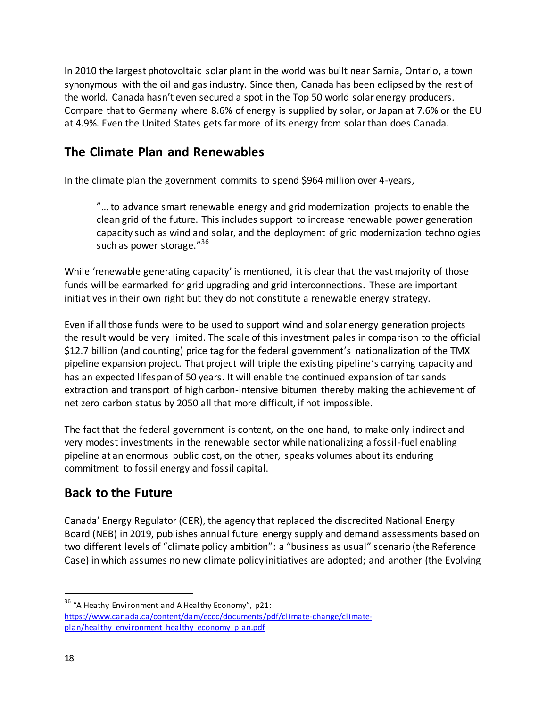In 2010 the largest photovoltaic solar plant in the world was built near Sarnia, Ontario, a town synonymous with the oil and gas industry. Since then, Canada has been eclipsed by the rest of the world. Canada hasn't even secured a spot in the Top 50 world solar energy producers. Compare that to Germany where 8.6% of energy is supplied by solar, or Japan at 7.6% or the EU at 4.9%. Even the United States gets far more of its energy from solar than does Canada.

### **The Climate Plan and Renewables**

In the climate plan the government commits to spend \$964 million over 4-years,

"… to advance smart renewable energy and grid modernization projects to enable the clean grid of the future. This includes support to increase renewable power generation capacity such as wind and solar, and the deployment of grid modernization technologies such as power storage."<sup>36</sup>

While 'renewable generating capacity' is mentioned, it is clear that the vast majority of those funds will be earmarked for grid upgrading and grid interconnections. These are important initiatives in their own right but they do not constitute a renewable energy strategy.

Even if all those funds were to be used to support wind and solar energy generation projects the result would be very limited. The scale of this investment pales in comparison to the official \$12.7 billion (and counting) price tag for the federal government's nationalization of the TMX pipeline expansion project. That project will triple the existing pipeline's carrying capacity and has an expected lifespan of 50 years. It will enable the continued expansion of tar sands extraction and transport of high carbon-intensive bitumen thereby making the achievement of net zero carbon status by 2050 all that more difficult, if not impossible.

The fact that the federal government is content, on the one hand, to make only indirect and very modest investments in the renewable sector while nationalizing a fossil-fuel enabling pipeline at an enormous public cost, on the other, speaks volumes about its enduring commitment to fossil energy and fossil capital.

### **Back to the Future**

Canada' Energy Regulator (CER), the agency that replaced the discredited National Energy Board (NEB) in 2019, publishes annual future energy supply and demand assessments based on two different levels of "climate policy ambition": a "business as usual" scenario (the Reference Case) in which assumes no new climate policy initiatives are adopted; and another (the Evolving

<sup>&</sup>lt;sup>36</sup> "A Heathy Environment and A Healthy Economy", p21: [https://www.canada.ca/content/dam/eccc/documents/pdf/climate-change/climate](https://www.canada.ca/content/dam/eccc/documents/pdf/climate-change/climate-plan/healthy_environment_healthy_economy_plan.pdf)plan/healthy\_environment\_healthy\_economy\_plan.pdf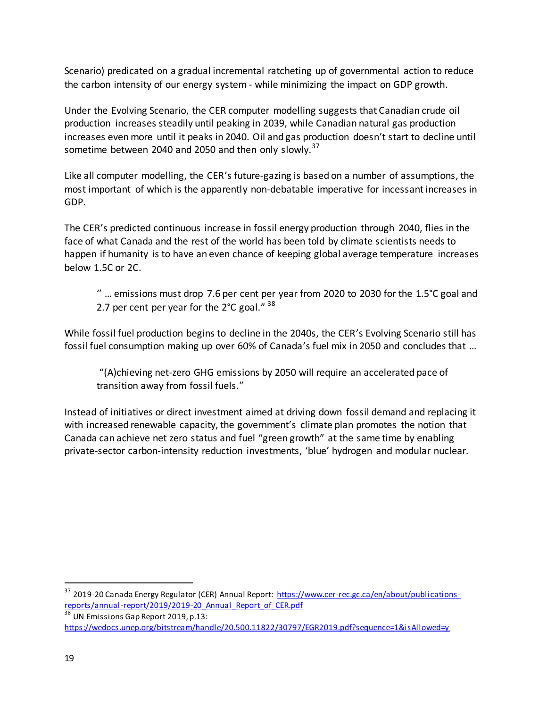Scenario) predicated on a gradual incremental ratcheting up of governmental action to reduce the carbon intensity of our energy system - while minimizing the impact on GDP growth.

Under the Evolving Scenario, the CER computer modelling suggests that Canadian crude oil production increases steadily until peaking in 2039, while Canadian natural gas production increases even more until it peaks in 2040. Oil and gas production doesn't start to decline until sometime between 2040 and 2050 and then only slowly.<sup>37</sup>

Like all computer modelling, the CER's future-gazing is based on a number of assumptions, the most important of which is the apparently non-debatable imperative for incessant increases in GDP.

The CER's predicted continuous increase in fossil energy production through 2040, flies in the face of what Canada and the rest of the world has been told by climate scientists needs to happen if humanity is to have an even chance of keeping global average temperature increases below 1.5C or 2C.

'' … emissions must drop 7.6 per cent per year from 2020 to 2030 for the 1.5°C goal and 2.7 per cent per year for the  $2^{\circ}$ C goal."  $38$ 

While fossil fuel production begins to decline in the 2040s, the CER's Evolving Scenario still has fossil fuel consumption making up over 60% of Canada's fuel mix in 2050 and concludes that …

"(A)chieving net-zero GHG emissions by 2050 will require an accelerated pace of transition away from fossil fuels."

Instead of initiatives or direct investment aimed at driving down fossil demand and replacing it with increased renewable capacity, the government's climate plan promotes the notion that Canada can achieve net zero status and fuel "green growth" at the same time by enabling private-sector carbon-intensity reduction investments, 'blue' hydrogen and modular nuclear.

<sup>37</sup> 2019-20 Canada Energy Regulator (CER) Annual Report[: https://www.cer-rec.gc.ca/en/about/publications](https://www.cer-rec.gc.ca/en/about/publications-reports/annual-report/2019/2019-20_Annual_Report_of_CER.pdf)[reports/annual-report/2019/2019-20\\_Annual\\_Report\\_of\\_CER.pdf](https://www.cer-rec.gc.ca/en/about/publications-reports/annual-report/2019/2019-20_Annual_Report_of_CER.pdf) 

<sup>38</sup> UN Emissions Gap Report 2019, p.13: <https://wedocs.unep.org/bitstream/handle/20.500.11822/30797/EGR2019.pdf?sequence=1&isAllowed=y>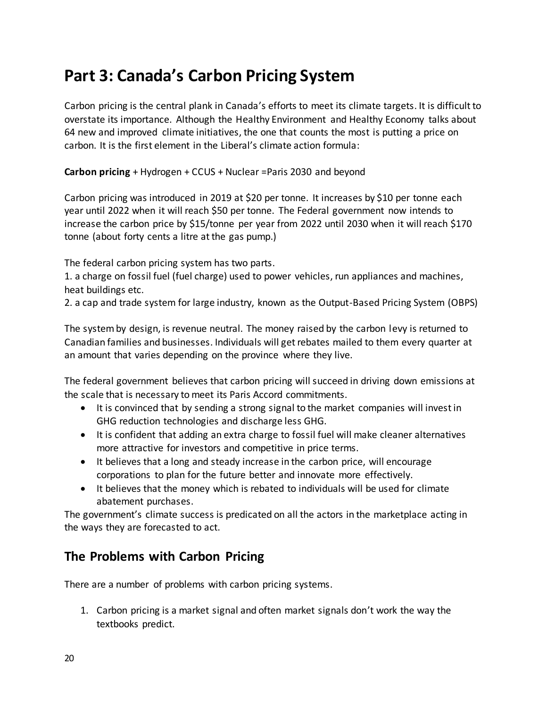# **Part 3: Canada's Carbon Pricing System**

Carbon pricing is the central plank in Canada's efforts to meet its climate targets. It is difficult to overstate its importance. Although the Healthy Environment and Healthy Economy talks about 64 new and improved climate initiatives, the one that counts the most is putting a price on carbon. It is the first element in the Liberal's climate action formula:

**Carbon pricing** + Hydrogen + CCUS + Nuclear =Paris 2030 and beyond

Carbon pricing was introduced in 2019 at \$20 per tonne. It increases by \$10 per tonne each year until 2022 when it will reach \$50 per tonne. The Federal government now intends to increase the carbon price by \$15/tonne per year from 2022 until 2030 when it will reach \$170 tonne (about forty cents a litre at the gas pump.)

The federal carbon pricing system has two parts.

1. a charge on fossil fuel (fuel charge) used to power vehicles, run appliances and machines, heat buildings etc.

2. a cap and trade system for large industry, known as the Output-Based Pricing System (OBPS)

The system by design, is revenue neutral. The money raised by the carbon levy is returned to Canadian families and businesses. Individuals will get rebates mailed to them every quarter at an amount that varies depending on the province where they live.

The federal government believes that carbon pricing will succeed in driving down emissions at the scale that is necessary to meet its Paris Accord commitments.

- It is convinced that by sending a strong signal to the market companies will invest in GHG reduction technologies and discharge less GHG.
- It is confident that adding an extra charge to fossil fuel will make cleaner alternatives more attractive for investors and competitive in price terms.
- It believes that a long and steady increase in the carbon price, will encourage corporations to plan for the future better and innovate more effectively.
- It believes that the money which is rebated to individuals will be used for climate abatement purchases.

The government's climate success is predicated on all the actors in the marketplace acting in the ways they are forecasted to act.

### **The Problems with Carbon Pricing**

There are a number of problems with carbon pricing systems.

1. Carbon pricing is a market signal and often market signals don't work the way the textbooks predict.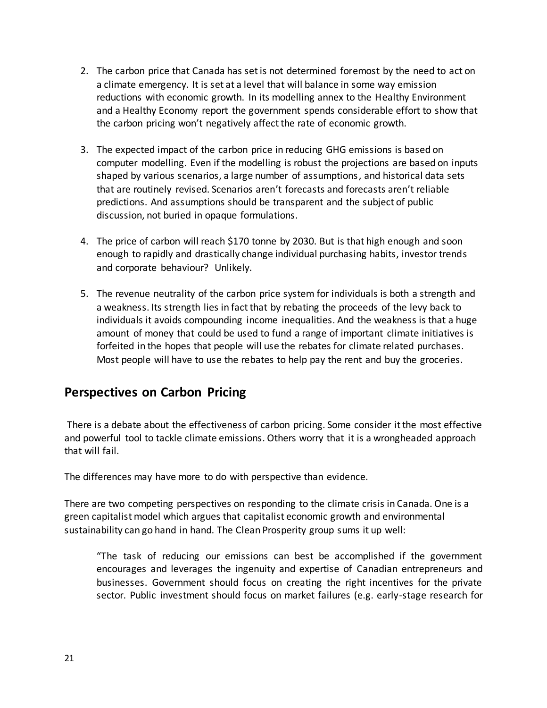- 2. The carbon price that Canada has set is not determined foremost by the need to act on a climate emergency. It is set at a level that will balance in some way emission reductions with economic growth. In its modelling annex to the Healthy Environment and a Healthy Economy report the government spends considerable effort to show that the carbon pricing won't negatively affect the rate of economic growth.
- 3. The expected impact of the carbon price in reducing GHG emissions is based on computer modelling. Even if the modelling is robust the projections are based on inputs shaped by various scenarios, a large number of assumptions, and historical data sets that are routinely revised. Scenarios aren't forecasts and forecasts aren't reliable predictions. And assumptions should be transparent and the subject of public discussion, not buried in opaque formulations.
- 4. The price of carbon will reach \$170 tonne by 2030. But is that high enough and soon enough to rapidly and drastically change individual purchasing habits, investor trends and corporate behaviour? Unlikely.
- 5. The revenue neutrality of the carbon price system for individuals is both a strength and a weakness. Its strength lies in fact that by rebating the proceeds of the levy back to individuals it avoids compounding income inequalities. And the weakness is that a huge amount of money that could be used to fund a range of important climate initiatives is forfeited in the hopes that people will use the rebates for climate related purchases. Most people will have to use the rebates to help pay the rent and buy the groceries.

### **Perspectives on Carbon Pricing**

 There is a debate about the effectiveness of carbon pricing. Some consider it the most effective and powerful tool to tackle climate emissions. Others worry that it is a wrongheaded approach that will fail.

The differences may have more to do with perspective than evidence.

There are two competing perspectives on responding to the climate crisis in Canada. One is a green capitalist model which argues that capitalist economic growth and environmental sustainability can go hand in hand. The Clean Prosperity group sums it up well:

"The task of reducing our emissions can best be accomplished if the government encourages and leverages the ingenuity and expertise of Canadian entrepreneurs and businesses. Government should focus on creating the right incentives for the private sector. Public investment should focus on market failures (e.g. early-stage research for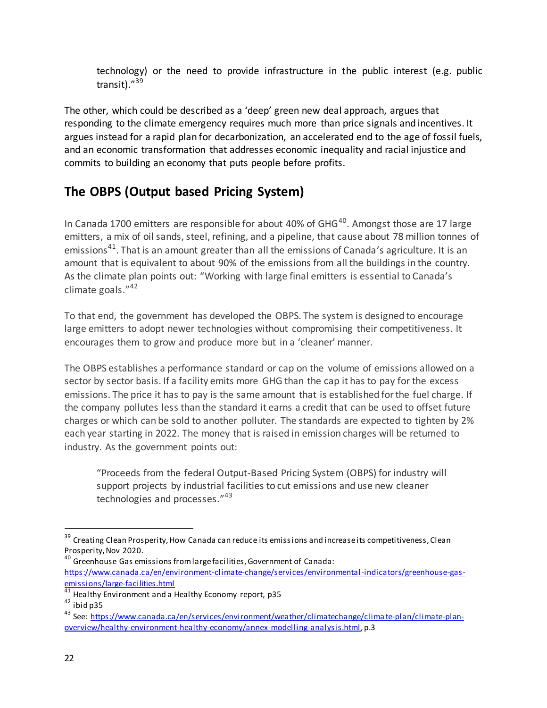technology) or the need to provide infrastructure in the public interest (e.g. public transit)." 39

The other, which could be described as a 'deep' green new deal approach, argues that responding to the climate emergency requires much more than price signals and incentives. It argues instead for a rapid plan for decarbonization, an accelerated end to the age of fossil fuels, and an economic transformation that addresses economic inequality and racial injustice and commits to building an economy that puts people before profits.

# **The OBPS (Output based Pricing System)**

In Canada 1700 emitters are responsible for about 40% of  $GHG^{40}$ . Amongst those are 17 large emitters, a mix of oil sands, steel, refining, and a pipeline, that cause about 78 million tonnes of emissions<sup>41</sup>. That is an amount greater than all the emissions of Canada's agriculture. It is an amount that is equivalent to about 90% of the emissions from all the buildings in the country. As the climate plan points out: "Working with large final emitters is essential to Canada's climate goals." 42

To that end, the government has developed the OBPS. The system is designed to encourage large emitters to adopt newer technologies without compromising their competitiveness. It encourages them to grow and produce more but in a 'cleaner' manner.

The OBPS establishes a performance standard or cap on the volume of emissions allowed on a sector by sector basis. If a facility emits more GHG than the cap it has to pay for the excess emissions. The price it has to pay is the same amount that is established for the fuel charge. If the company pollutes less than the standard it earns a credit that can be used to offset future charges or which can be sold to another polluter. The standards are expected to tighten by 2% each year starting in 2022. The money that is raised in emission charges will be returned to industry. As the government points out:

"Proceeds from the federal Output-Based Pricing System (OBPS) for industry will support projects by industrial facilities to cut emissions and use new cleaner technologies and processes."<sup>43</sup>

<sup>&</sup>lt;sup>39</sup> Creating Clean Prosperity, How Canada can reduce its emissions and increase its competitiveness, Clean Prosperity, Nov 2020.

<sup>&</sup>lt;sup>40</sup> Greenhouse Gas emissions from large facilities, Government of Canada: [https://www.canada.ca/en/environment-climate-change/services/environmental-indicators/greenhouse-gas](https://www.canada.ca/en/environment-climate-change/services/environmental-indicators/greenhouse-gas-emissions/large-facilities.html)[emissions/large-facilities.html](https://www.canada.ca/en/environment-climate-change/services/environmental-indicators/greenhouse-gas-emissions/large-facilities.html) 

<sup>&</sup>lt;sup>41</sup> Healthy Environment and a Healthy Economy report, p35

 $42$  ibid p35

<sup>43</sup> See: [https://www.canada.ca/en/services/environment/weather/climatechange/clima](https://www.canada.ca/en/services/environment/weather/climatechange/climate-plan/climate-plan-overview/healthy-environment-healthy-economy/annex-modelling-analysis.html) te-plan/climate-plan[overview/healthy-environment-healthy-economy/annex-modelling-analysis.html,](https://www.canada.ca/en/services/environment/weather/climatechange/climate-plan/climate-plan-overview/healthy-environment-healthy-economy/annex-modelling-analysis.html) p.3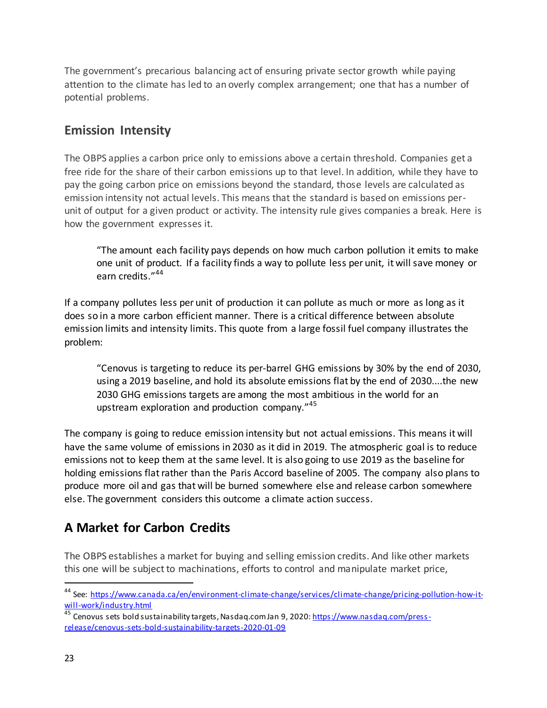The government's precarious balancing act of ensuring private sector growth while paying attention to the climate has led to an overly complex arrangement; one that has a number of potential problems.

### **Emission Intensity**

The OBPS applies a carbon price only to emissions above a certain threshold. Companies get a free ride for the share of their carbon emissions up to that level. In addition, while they have to pay the going carbon price on emissions beyond the standard, those levels are calculated as emission intensity not actual levels. This means that the standard is based on emissions perunit of output for a given product or activity. The intensity rule gives companies a break. Here is how the government expresses it.

"The amount each facility pays depends on how much carbon pollution it emits to make one unit of product. If a facility finds a way to pollute less per unit, it will save money or earn credits."<sup>44</sup>

If a company pollutes less per unit of production it can pollute as much or more as long as it does so in a more carbon efficient manner. There is a critical difference between absolute emission limits and intensity limits. This quote from a large fossil fuel company illustrates the problem:

"Cenovus is targeting to reduce its per-barrel GHG emissions by 30% by the end of 2030, using a 2019 baseline, and hold its absolute emissions flat by the end of 2030....the new 2030 GHG emissions targets are among the most ambitious in the world for an upstream exploration and production company."<sup>45</sup>

The company is going to reduce emission intensity but not actual emissions. This means it will have the same volume of emissions in 2030 as it did in 2019. The atmospheric goal is to reduce emissions not to keep them at the same level. It is also going to use 2019 as the baseline for holding emissions flat rather than the Paris Accord baseline of 2005. The company also plans to produce more oil and gas that will be burned somewhere else and release carbon somewhere else. The government considers this outcome a climate action success.

# **A Market for Carbon Credits**

The OBPS establishes a market for buying and selling emission credits. And like other markets this one will be subject to machinations, efforts to control and manipulate market price,

<sup>&</sup>lt;sup>44</sup> See: [https://www.canada.ca/en/environment-climate-change/services/climate-change/pricing-pollution-how-it](https://www.canada.ca/en/environment-climate-change/services/climate-change/pricing-pollution-how-it-will-work/industry.html)[will-work/industry.html](https://www.canada.ca/en/environment-climate-change/services/climate-change/pricing-pollution-how-it-will-work/industry.html)

<sup>&</sup>lt;sup>45</sup> Cenovus sets bold sustainability targets, Nasdaq.com Jan 9, 2020[: https://www.nasdaq.com/press](https://www.nasdaq.com/press-release/cenovus-sets-bold-sustainability-targets-2020-01-09)[release/cenovus-sets-bold-sustainability-targets-2020-01-09](https://www.nasdaq.com/press-release/cenovus-sets-bold-sustainability-targets-2020-01-09)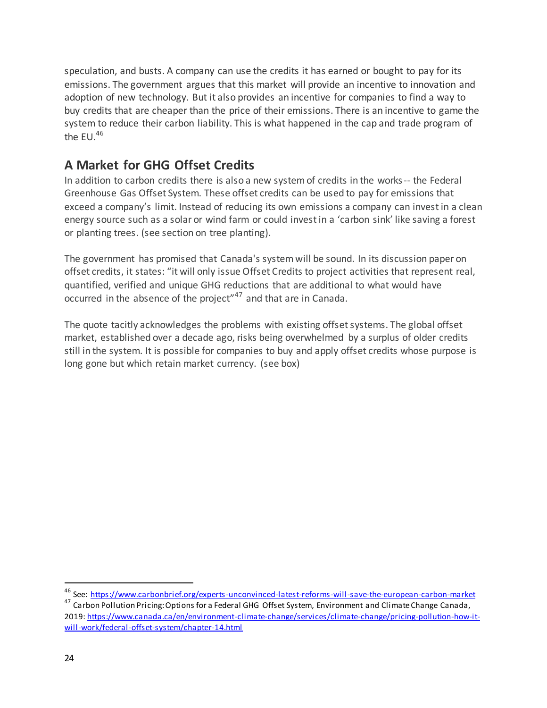speculation, and busts. A company can use the credits it has earned or bought to pay for its emissions. The government argues that this market will provide an incentive to innovation and adoption of new technology. But it also provides an incentive for companies to find a way to buy credits that are cheaper than the price of their emissions. There is an incentive to game the system to reduce their carbon liability. This is what happened in the cap and trade program of the  $EU^{46}$ 

# **A Market for GHG Offset Credits**

In addition to carbon credits there is also a new system of credits in the works-- the Federal Greenhouse Gas Offset System. These offset credits can be used to pay for emissions that exceed a company's limit. Instead of reducing its own emissions a company can invest in a clean energy source such as a solar or wind farm or could invest in a 'carbon sink' like saving a forest or planting trees. (see section on tree planting).

The government has promised that Canada's system will be sound. In its discussion paper on offset credits, it states: "it will only issue Offset Credits to project activities that represent real, quantified, verified and unique GHG reductions that are additional to what would have occurred in the absence of the project"<sup>47</sup> and that are in Canada.

The quote tacitly acknowledges the problems with existing offset systems. The global offset market, established over a decade ago, risks being overwhelmed by a surplus of older credits still in the system. It is possible for companies to buy and apply offset credits whose purpose is long gone but which retain market currency. (see box)

<sup>46</sup> See:<https://www.carbonbrief.org/experts-unconvinced-latest-reforms-will-save-the-european-carbon-market>

<sup>47</sup> Carbon Pollution Pricing: Options for a Federal GHG Offset System, Environment and Climate Change Canada, 2019[: https://www.canada.ca/en/environment-climate-change/services/climate-change/pricing-pollution-how-it](https://www.canada.ca/en/environment-climate-change/services/climate-change/pricing-pollution-how-it-will-work/federal-offset-system/chapter-14.html)[will-work/federal-offset-system/chapter-14.html](https://www.canada.ca/en/environment-climate-change/services/climate-change/pricing-pollution-how-it-will-work/federal-offset-system/chapter-14.html)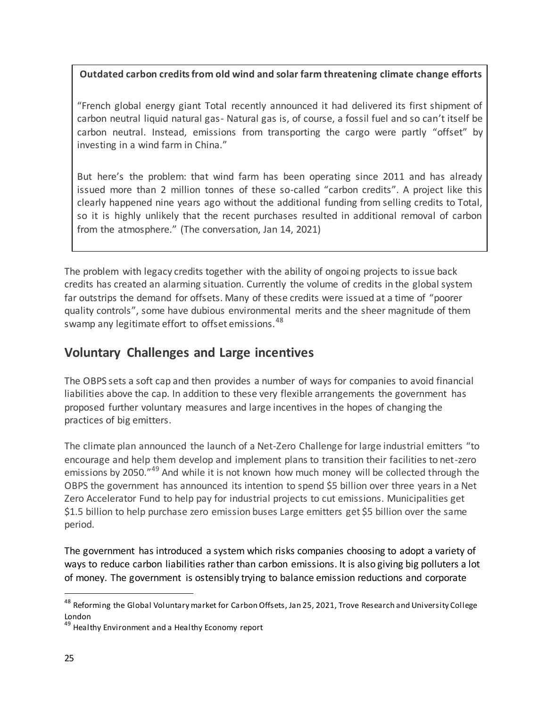**Outdated carbon credits from old wind and solar farm threatening climate change efforts** 

"French global energy giant Total recently announced it had delivered its first shipment of carbon neutral liquid natural gas- Natural gas is, of course, a fossil fuel and so can't itself be carbon neutral. Instead, emissions from transporting the cargo were partly "offset" by investing in a wind farm in China."

But here's the problem: that wind farm has been operating since 2011 and has already issued more than 2 million tonnes of these so-called "carbon credits". A project like this clearly happened nine years ago without the additional funding from selling credits to Total, so it is highly unlikely that the recent purchases resulted in additional removal of carbon from the atmosphere." (The conversation, Jan 14, 2021)

The problem with legacy credits together with the ability of ongoing projects to issue back credits has created an alarming situation. Currently the volume of credits in the global system far outstrips the demand for offsets. Many of these credits were issued at a time of "poorer quality controls", some have dubious environmental merits and the sheer magnitude of them swamp any legitimate effort to offset emissions.  $48$ 

## **Voluntary Challenges and Large incentives**

The OBPS sets a soft cap and then provides a number of ways for companies to avoid financial liabilities above the cap. In addition to these very flexible arrangements the government has proposed further voluntary measures and large incentives in the hopes of changing the practices of big emitters.

The climate plan announced the launch of a Net-Zero Challenge for large industrial emitters "to encourage and help them develop and implement plans to transition their facilities to net-zero emissions by 2050."<sup>49</sup> And while it is not known how much money will be collected through the OBPS the government has announced its intention to spend \$5 billion over three years in a Net Zero Accelerator Fund to help pay for industrial projects to cut emissions. Municipalities get \$1.5 billion to help purchase zero emission buses Large emitters get \$5 billion over the same period.

The government has introduced a system which risks companies choosing to adopt a variety of ways to reduce carbon liabilities rather than carbon emissions. It is also giving big polluters a lot of money. The government is ostensibly trying to balance emission reductions and corporate

<sup>&</sup>lt;sup>48</sup> Reforming the Global Voluntary market for Carbon Offsets, Jan 25, 2021, Trove Research and University College London

<sup>&</sup>lt;sup>49</sup> Healthy Environment and a Healthy Economy report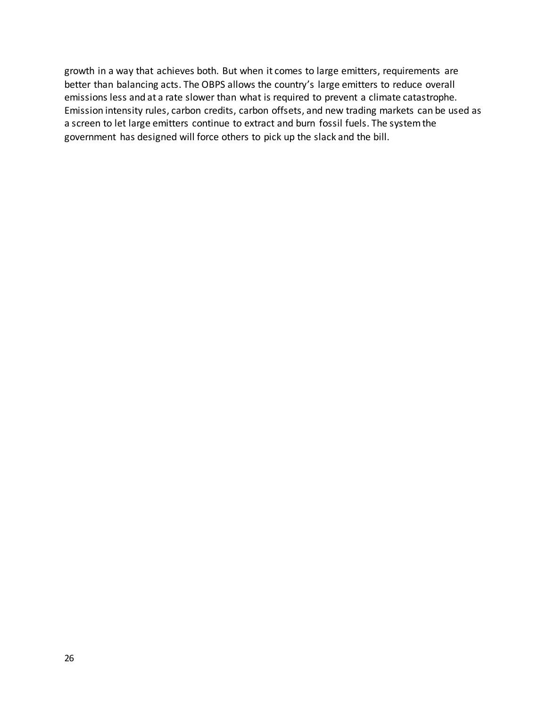growth in a way that achieves both. But when it comes to large emitters, requirements are better than balancing acts. The OBPS allows the country's large emitters to reduce overall emissions less and at a rate slower than what is required to prevent a climate catastrophe. Emission intensity rules, carbon credits, carbon offsets, and new trading markets can be used as a screen to let large emitters continue to extract and burn fossil fuels. The system the government has designed will force others to pick up the slack and the bill.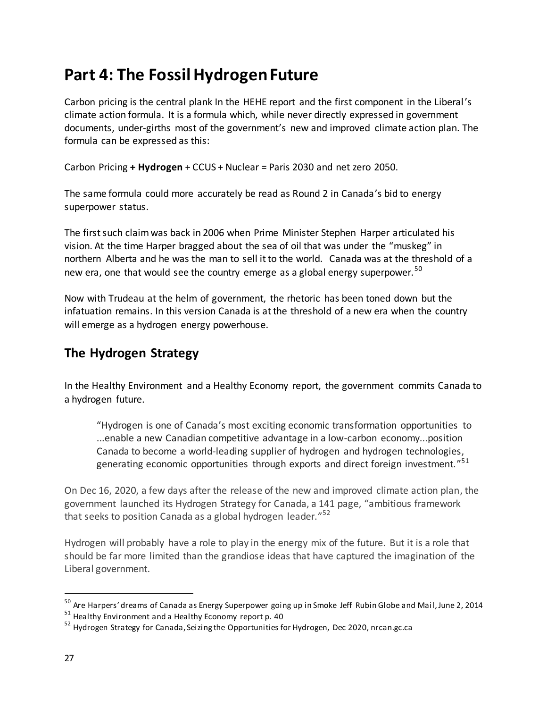# **Part 4: The Fossil Hydrogen Future**

Carbon pricing is the central plank In the HEHE report and the first component in the Liberal's climate action formula. It is a formula which, while never directly expressed in government documents, under-girths most of the government's new and improved climate action plan. The formula can be expressed as this:

Carbon Pricing **+ Hydrogen** + CCUS + Nuclear = Paris 2030 and net zero 2050.

The same formula could more accurately be read as Round 2 in Canada's bid to energy superpower status.

The first such claim was back in 2006 when Prime Minister Stephen Harper articulated his vision. At the time Harper bragged about the sea of oil that was under the "muskeg" in northern Alberta and he was the man to sell it to the world. Canada was at the threshold of a new era, one that would see the country emerge as a global energy superpower.<sup>50</sup>

Now with Trudeau at the helm of government, the rhetoric has been toned down but the infatuation remains. In this version Canada is at the threshold of a new era when the country will emerge as a hydrogen energy powerhouse.

## **The Hydrogen Strategy**

In the Healthy Environment and a Healthy Economy report, the government commits Canada to a hydrogen future.

"Hydrogen is one of Canada's most exciting economic transformation opportunities to ...enable a new Canadian competitive advantage in a low-carbon economy...position Canada to become a world-leading supplier of hydrogen and hydrogen technologies, generating economic opportunities through exports and direct foreign investment."<sup>51</sup>

On Dec 16, 2020, a few days after the release of the new and improved climate action plan, the government launched its Hydrogen Strategy for Canada, a 141 page, "ambitious framework that seeks to position Canada as a global hydrogen leader."<sup>52</sup>

Hydrogen will probably have a role to play in the energy mix of the future. But it is a role that should be far more limited than the grandiose ideas that have captured the imagination of the Liberal government.

<sup>50</sup> Are Harpers' dreams of Canada as Energy Superpower going up in Smoke Jeff Rubin Globe and Mail, June 2, 2014

<sup>51</sup> Healthy Environment and a Healthy Economy report p. 40

<sup>&</sup>lt;sup>52</sup> Hydrogen Strategy for Canada, Seizing the Opportunities for Hydrogen, Dec 2020, nrcan.gc.ca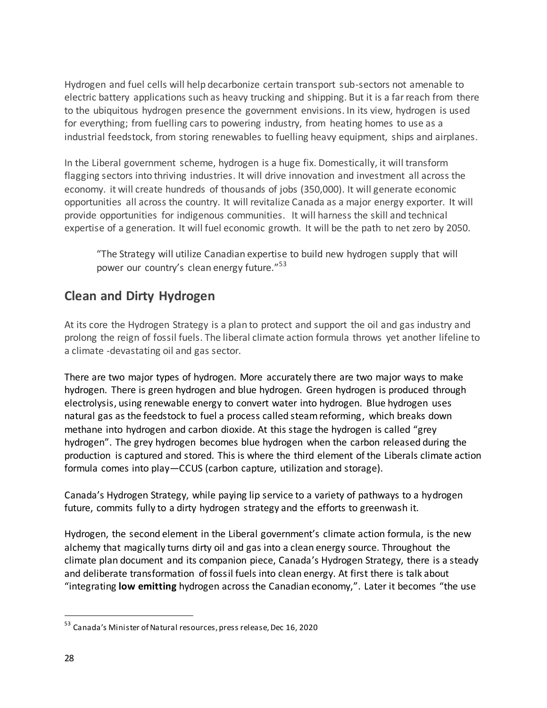Hydrogen and fuel cells will help decarbonize certain transport sub-sectors not amenable to electric battery applications such as heavy trucking and shipping. But it is a far reach from there to the ubiquitous hydrogen presence the government envisions. In its view, hydrogen is used for everything; from fuelling cars to powering industry, from heating homes to use as a industrial feedstock, from storing renewables to fuelling heavy equipment, ships and airplanes.

In the Liberal government scheme, hydrogen is a huge fix. Domestically, it will transform flagging sectors into thriving industries. It will drive innovation and investment all across the economy. it will create hundreds of thousands of jobs (350,000). It will generate economic opportunities all across the country. It will revitalize Canada as a major energy exporter. It will provide opportunities for indigenous communities. It will harness the skill and technical expertise of a generation. It will fuel economic growth. It will be the path to net zero by 2050.

"The Strategy will utilize Canadian expertise to build new hydrogen supply that will power our country's clean energy future."<sup>53</sup>

## **Clean and Dirty Hydrogen**

At its core the Hydrogen Strategy is a plan to protect and support the oil and gas industry and prolong the reign of fossil fuels. The liberal climate action formula throws yet another lifeline to a climate -devastating oil and gas sector.

There are two major types of hydrogen. More accurately there are two major ways to make hydrogen. There is green hydrogen and blue hydrogen. Green hydrogen is produced through electrolysis, using renewable energy to convert water into hydrogen. Blue hydrogen uses natural gas as the feedstock to fuel a process called steam reforming, which breaks down methane into hydrogen and carbon dioxide. At this stage the hydrogen is called "grey hydrogen". The grey hydrogen becomes blue hydrogen when the carbon released during the production is captured and stored. This is where the third element of the Liberals climate action formula comes into play—CCUS (carbon capture, utilization and storage).

Canada's Hydrogen Strategy, while paying lip service to a variety of pathways to a hydrogen future, commits fully to a dirty hydrogen strategy and the efforts to greenwash it.

Hydrogen, the second element in the Liberal government's climate action formula, is the new alchemy that magically turns dirty oil and gas into a clean energy source. Throughout the climate plan document and its companion piece, Canada's Hydrogen Strategy, there is a steady and deliberate transformation of fossil fuels into clean energy. At first there is talk about "integrating **low emitting** hydrogen across the Canadian economy,". Later it becomes "the use

<sup>53</sup> Canada's Minister of Natural resources, press release, Dec 16, 2020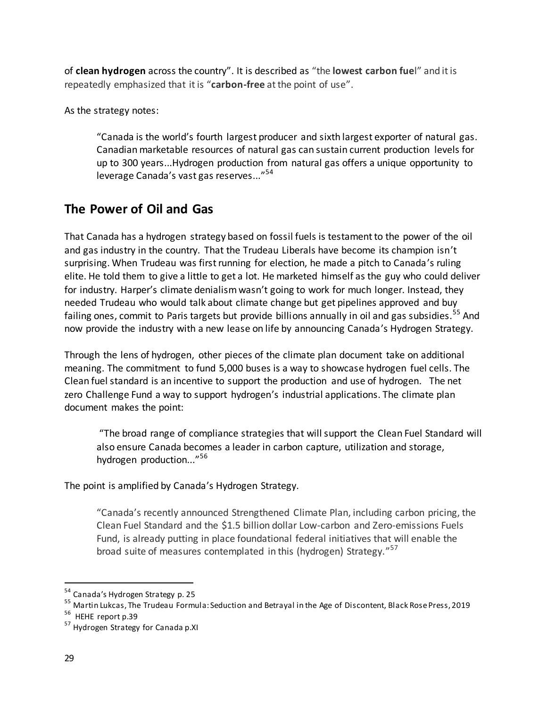of **clean hydrogen** across the country". It is described as "the **lowest carbon fue**l" and it is repeatedly emphasized that it is "**carbon-free** at the point of use".

As the strategy notes:

"Canada is the world's fourth largest producer and sixth largest exporter of natural gas. Canadian marketable resources of natural gas can sustain current production levels for up to 300 years...Hydrogen production from natural gas offers a unique opportunity to leverage Canada's vast gas reserves..." 54

## **The Power of Oil and Gas**

That Canada has a hydrogen strategy based on fossil fuels is testament to the power of the oil and gas industry in the country. That the Trudeau Liberals have become its champion isn't surprising. When Trudeau was first running for election, he made a pitch to Canada's ruling elite. He told them to give a little to get a lot. He marketed himself as the guy who could deliver for industry. Harper's climate denialism wasn't going to work for much longer. Instead, they needed Trudeau who would talk about climate change but get pipelines approved and buy failing ones, commit to Paris targets but provide billions annually in oil and gas subsidies.<sup>55</sup> And now provide the industry with a new lease on life by announcing Canada's Hydrogen Strategy.

Through the lens of hydrogen, other pieces of the climate plan document take on additional meaning. The commitment to fund 5,000 buses is a way to showcase hydrogen fuel cells. The Clean fuel standard is an incentive to support the production and use of hydrogen. The net zero Challenge Fund a way to support hydrogen's industrial applications. The climate plan document makes the point:

"The broad range of compliance strategies that will support the Clean Fuel Standard will also ensure Canada becomes a leader in carbon capture, utilization and storage, hydrogen production..." 56

The point is amplified by Canada's Hydrogen Strategy.

"Canada's recently announced Strengthened Climate Plan, including carbon pricing, the Clean Fuel Standard and the \$1.5 billion dollar Low-carbon and Zero-emissions Fuels Fund, is already putting in place foundational federal initiatives that will enable the broad suite of measures contemplated in this (hydrogen) Strategy."<sup>57</sup>

<sup>&</sup>lt;sup>54</sup> Canada's Hydrogen Strategy p. 25

<sup>55</sup> Martin Lukcas, The Trudeau Formula: Seduction and Betrayal in the Age of Discontent, Black Rose Press, 2019

<sup>&</sup>lt;sup>56</sup> HEHE report p.39

<sup>57</sup> Hydrogen Strategy for Canada p.XI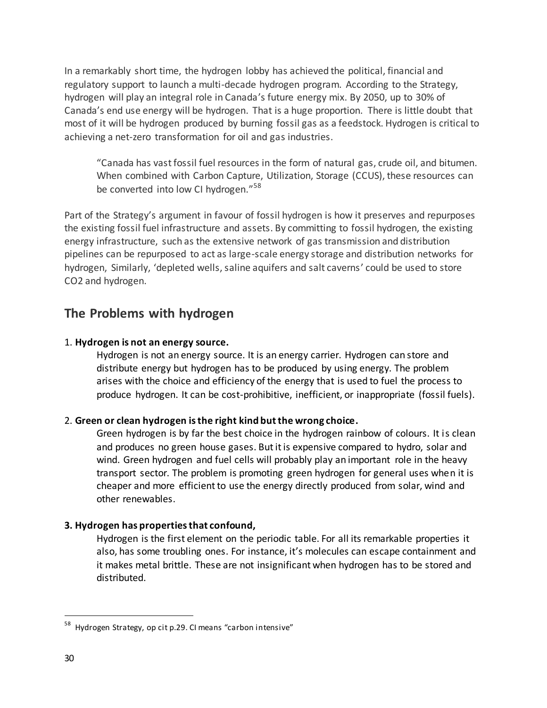In a remarkably short time, the hydrogen lobby has achieved the political, financial and regulatory support to launch a multi-decade hydrogen program. According to the Strategy, hydrogen will play an integral role in Canada's future energy mix. By 2050, up to 30% of Canada's end use energy will be hydrogen. That is a huge proportion. There is little doubt that most of it will be hydrogen produced by burning fossil gas as a feedstock. Hydrogen is critical to achieving a net-zero transformation for oil and gas industries.

"Canada has vast fossil fuel resources in the form of natural gas, crude oil, and bitumen. When combined with Carbon Capture, Utilization, Storage (CCUS), these resources can be converted into low CI hydrogen."<sup>58</sup>

Part of the Strategy's argument in favour of fossil hydrogen is how it preserves and repurposes the existing fossil fuel infrastructure and assets. By committing to fossil hydrogen, the existing energy infrastructure, such as the extensive network of gas transmission and distribution pipelines can be repurposed to act as large-scale energy storage and distribution networks for hydrogen, Similarly, 'depleted wells, saline aquifers and salt caverns' could be used to store CO2 and hydrogen.

### **The Problems with hydrogen**

#### 1. **Hydrogen is not an energy source.**

Hydrogen is not an energy source. It is an energy carrier. Hydrogen can store and distribute energy but hydrogen has to be produced by using energy. The problem arises with the choice and efficiency of the energy that is used to fuel the process to produce hydrogen. It can be cost-prohibitive, inefficient, or inappropriate (fossil fuels).

#### 2. **Green or clean hydrogen is the right kind but the wrong choice.**

Green hydrogen is by far the best choice in the hydrogen rainbow of colours. It is clean and produces no green house gases. But it is expensive compared to hydro, solar and wind. Green hydrogen and fuel cells will probably play an important role in the heavy transport sector. The problem is promoting green hydrogen for general uses when it is cheaper and more efficient to use the energy directly produced from solar, wind and other renewables.

#### **3. Hydrogen has properties that confound,**

Hydrogen is the first element on the periodic table. For all its remarkable properties it also, has some troubling ones. For instance, it's molecules can escape containment and it makes metal brittle. These are not insignificant when hydrogen has to be stored and distributed.

<sup>&</sup>lt;sup>58</sup> Hydrogen Strategy, op cit p.29. CI means "carbon intensive"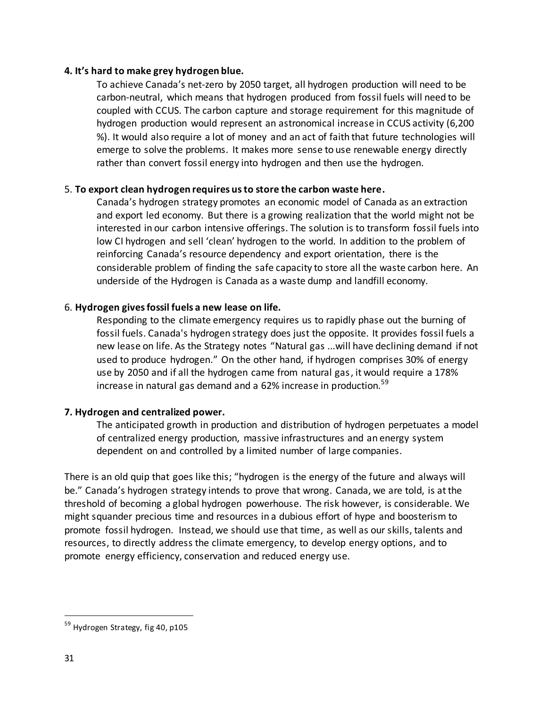#### **4. It's hard to make grey hydrogen blue.**

To achieve Canada's net-zero by 2050 target, all hydrogen production will need to be carbon-neutral, which means that hydrogen produced from fossil fuels will need to be coupled with CCUS. The carbon capture and storage requirement for this magnitude of hydrogen production would represent an astronomical increase in CCUS activity (6,200 %). It would also require a lot of money and an act of faith that future technologies will emerge to solve the problems. It makes more sense to use renewable energy directly rather than convert fossil energy into hydrogen and then use the hydrogen.

#### 5. **To export clean hydrogen requires us to store the carbon waste here.**

Canada's hydrogen strategy promotes an economic model of Canada as an extraction and export led economy. But there is a growing realization that the world might not be interested in our carbon intensive offerings. The solution is to transform fossil fuels into low CI hydrogen and sell 'clean' hydrogen to the world. In addition to the problem of reinforcing Canada's resource dependency and export orientation, there is the considerable problem of finding the safe capacity to store all the waste carbon here. An underside of the Hydrogen is Canada as a waste dump and landfill economy.

#### 6. **Hydrogen gives fossil fuels a new lease on life.**

Responding to the climate emergency requires us to rapidly phase out the burning of fossil fuels. Canada's hydrogen strategy does just the opposite. It provides fossil fuels a new lease on life. As the Strategy notes "Natural gas ...will have declining demand if not used to produce hydrogen." On the other hand, if hydrogen comprises 30% of energy use by 2050 and if all the hydrogen came from natural gas, it would require a 178% increase in natural gas demand and a 62% increase in production.<sup>59</sup>

#### **7. Hydrogen and centralized power.**

The anticipated growth in production and distribution of hydrogen perpetuates a model of centralized energy production, massive infrastructures and an energy system dependent on and controlled by a limited number of large companies.

There is an old quip that goes like this; "hydrogen is the energy of the future and always will be." Canada's hydrogen strategy intends to prove that wrong. Canada, we are told, is at the threshold of becoming a global hydrogen powerhouse. The risk however, is considerable. We might squander precious time and resources in a dubious effort of hype and boosterism to promote fossil hydrogen. Instead, we should use that time, as well as our skills, talents and resources, to directly address the climate emergency, to develop energy options, and to promote energy efficiency, conservation and reduced energy use.

<sup>&</sup>lt;sup>59</sup> Hydrogen Strategy, fig 40, p105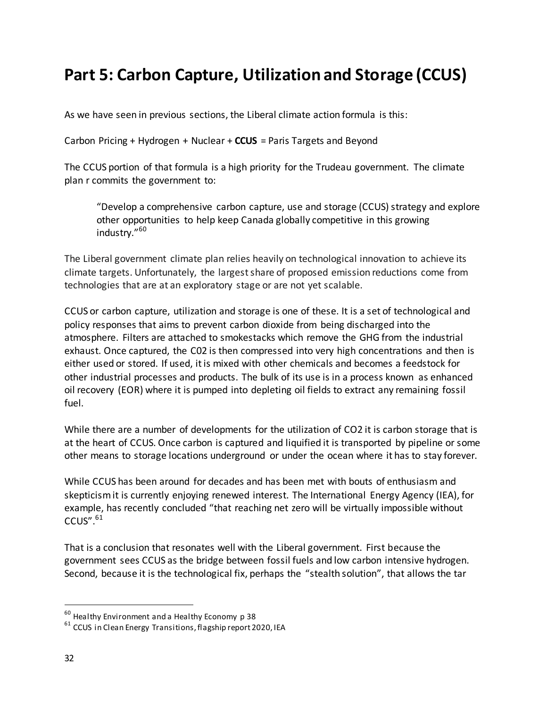# **Part 5: Carbon Capture, Utilization and Storage (CCUS)**

As we have seen in previous sections, the Liberal climate action formula is this:

Carbon Pricing + Hydrogen + Nuclear + **CCUS** = Paris Targets and Beyond

The CCUS portion of that formula is a high priority for the Trudeau government. The climate plan r commits the government to:

"Develop a comprehensive carbon capture, use and storage (CCUS) strategy and explore other opportunities to help keep Canada globally competitive in this growing industry." 60

The Liberal government climate plan relies heavily on technological innovation to achieve its climate targets. Unfortunately, the largest share of proposed emission reductions come from technologies that are at an exploratory stage or are not yet scalable.

CCUS or carbon capture, utilization and storage is one of these. It is a set of technological and policy responses that aims to prevent carbon dioxide from being discharged into the atmosphere. Filters are attached to smokestacks which remove the GHG from the industrial exhaust. Once captured, the C02 is then compressed into very high concentrations and then is either used or stored. If used, it is mixed with other chemicals and becomes a feedstock for other industrial processes and products. The bulk of its use is in a process known as enhanced oil recovery (EOR) where it is pumped into depleting oil fields to extract any remaining fossil fuel.

While there are a number of developments for the utilization of CO2 it is carbon storage that is at the heart of CCUS. Once carbon is captured and liquified it is transported by pipeline or some other means to storage locations underground or under the ocean where it has to stay forever.

While CCUS has been around for decades and has been met with bouts of enthusiasm and skepticism it is currently enjoying renewed interest. The International Energy Agency (IEA), for example, has recently concluded "that reaching net zero will be virtually impossible without  $CCUS''.<sup>61</sup>$ 

That is a conclusion that resonates well with the Liberal government. First because the government sees CCUS as the bridge between fossil fuels and low carbon intensive hydrogen. Second, because it is the technological fix, perhaps the "stealth solution", that allows the tar

 $^{60}$  Healthy Environment and a Healthy Economy p 38

<sup>&</sup>lt;sup>61</sup> CCUS in Clean Energy Transitions, flagship report 2020, IEA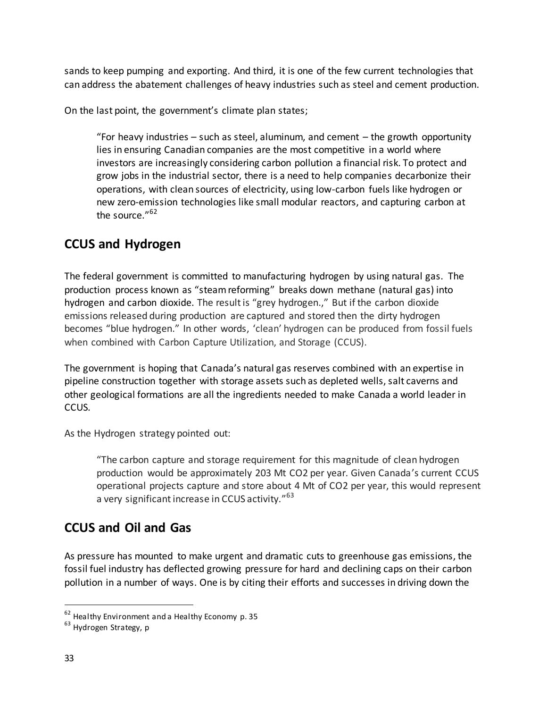sands to keep pumping and exporting. And third, it is one of the few current technologies that can address the abatement challenges of heavy industries such as steel and cement production.

On the last point, the government's climate plan states;

"For heavy industries  $-$  such as steel, aluminum, and cement  $-$  the growth opportunity lies in ensuring Canadian companies are the most competitive in a world where investors are increasingly considering carbon pollution a financial risk. To protect and grow jobs in the industrial sector, there is a need to help companies decarbonize their operations, with clean sources of electricity, using low-carbon fuels like hydrogen or new zero-emission technologies like small modular reactors, and capturing carbon at the source."<sup>62</sup>

## **CCUS and Hydrogen**

The federal government is committed to manufacturing hydrogen by using natural gas. The production process known as "steam reforming" breaks down methane (natural gas) into hydrogen and carbon dioxide. The result is "grey hydrogen.," But if the carbon dioxide emissions released during production are captured and stored then the dirty hydrogen becomes "blue hydrogen." In other words, 'clean' hydrogen can be produced from fossil fuels when combined with Carbon Capture Utilization, and Storage (CCUS).

The government is hoping that Canada's natural gas reserves combined with an expertise in pipeline construction together with storage assets such as depleted wells, salt caverns and other geological formations are all the ingredients needed to make Canada a world leader in CCUS.

As the Hydrogen strategy pointed out:

"The carbon capture and storage requirement for this magnitude of clean hydrogen production would be approximately 203 Mt CO2 per year. Given Canada's current CCUS operational projects capture and store about 4 Mt of CO2 per year, this would represent a very significant increase in CCUS activity."<sup>63</sup>

# **CCUS and Oil and Gas**

As pressure has mounted to make urgent and dramatic cuts to greenhouse gas emissions, the fossil fuel industry has deflected growing pressure for hard and declining caps on their carbon pollution in a number of ways. One is by citing their efforts and successes in driving down the

 $62$  Healthy Environment and a Healthy Economy p. 35

<sup>&</sup>lt;sup>63</sup> Hydrogen Strategy, p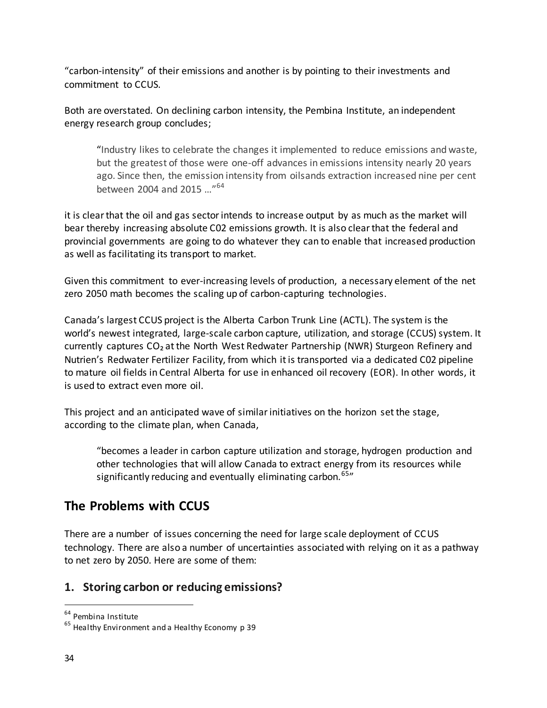"carbon-intensity" of their emissions and another is by pointing to their investments and commitment to CCUS.

Both are overstated. On declining carbon intensity, the Pembina Institute, an independent energy research group concludes;

"Industry likes to celebrate the changes it implemented to reduce emissions and waste, but the greatest of those were one-off advances in emissions intensity nearly 20 years ago. Since then, the emission intensity from oilsands extraction increased nine per cent between 2004 and 2015 …"<sup>64</sup>

it is clear that the oil and gas sector intends to increase output by as much as the market will bear thereby increasing absolute C02 emissions growth. It is also clear that the federal and provincial governments are going to do whatever they can to enable that increased production as well as facilitating its transport to market.

Given this commitment to ever-increasing levels of production, a necessary element of the net zero 2050 math becomes the scaling up of carbon-capturing technologies.

Canada's largest CCUS project is the Alberta Carbon Trunk Line (ACTL). The system is the world's newest integrated, large-scale carbon capture, utilization, and storage (CCUS) system. It currently captures CO₂ at the North West Redwater Partnership (NWR) Sturgeon Refinery and Nutrien's Redwater Fertilizer Facility, from which it is transported via a dedicated C02 pipeline to mature oil fields in Central Alberta for use in enhanced oil recovery (EOR). In other words, it is used to extract even more oil.

This project and an anticipated wave of similar initiatives on the horizon set the stage, according to the climate plan, when Canada,

"becomes a leader in carbon capture utilization and storage, hydrogen production and other technologies that will allow Canada to extract energy from its resources while significantly reducing and eventually eliminating carbon.<sup>65</sup><sup>"</sup>

## **The Problems with CCUS**

There are a number of issues concerning the need for large scale deployment of CCUS technology. There are also a number of uncertainties associated with relying on it as a pathway to net zero by 2050. Here are some of them:

### **1. Storing carbon or reducing emissions?**

<sup>64</sup> Pembina Institute

 $65$  Healthy Environment and a Healthy Economy p 39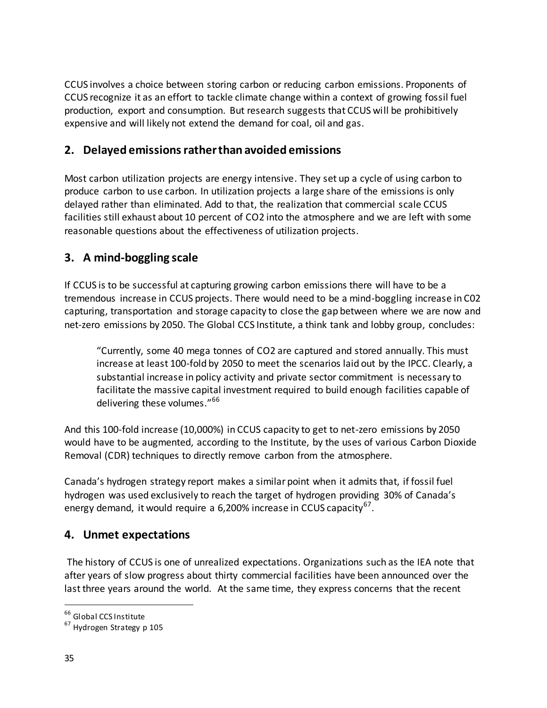CCUS involves a choice between storing carbon or reducing carbon emissions. Proponents of CCUS recognize it as an effort to tackle climate change within a context of growing fossil fuel production, export and consumption. But research suggests that CCUS will be prohibitively expensive and will likely not extend the demand for coal, oil and gas.

### **2. Delayed emissions rather than avoided emissions**

Most carbon utilization projects are energy intensive. They set up a cycle of using carbon to produce carbon to use carbon. In utilization projects a large share of the emissions is only delayed rather than eliminated. Add to that, the realization that commercial scale CCUS facilities still exhaust about 10 percent of CO2 into the atmosphere and we are left with some reasonable questions about the effectiveness of utilization projects.

### **3. A mind-boggling scale**

If CCUS is to be successful at capturing growing carbon emissions there will have to be a tremendous increase in CCUS projects. There would need to be a mind-boggling increase in C02 capturing, transportation and storage capacity to close the gap between where we are now and net-zero emissions by 2050. The Global CCS Institute, a think tank and lobby group, concludes:

"Currently, some 40 mega tonnes of CO2 are captured and stored annually. This must increase at least 100-fold by 2050 to meet the scenarios laid out by the IPCC. Clearly, a substantial increase in policy activity and private sector commitment is necessary to facilitate the massive capital investment required to build enough facilities capable of delivering these volumes."<sup>66</sup>

And this 100-fold increase (10,000%) in CCUS capacity to get to net-zero emissions by 2050 would have to be augmented, according to the Institute, by the uses of various Carbon Dioxide Removal (CDR) techniques to directly remove carbon from the atmosphere.

Canada's hydrogen strategy report makes a similar point when it admits that, if fossil fuel hydrogen was used exclusively to reach the target of hydrogen providing 30% of Canada's energy demand, it would require a 6,200% increase in CCUS capacity<sup>67</sup>.

### **4. Unmet expectations**

 The history of CCUS is one of unrealized expectations. Organizations such as the IEA note that after years of slow progress about thirty commercial facilities have been announced over the last three years around the world. At the same time, they express concerns that the recent

<sup>66</sup> Global CCS Institute

<sup>&</sup>lt;sup>67</sup> Hydrogen Strategy p 105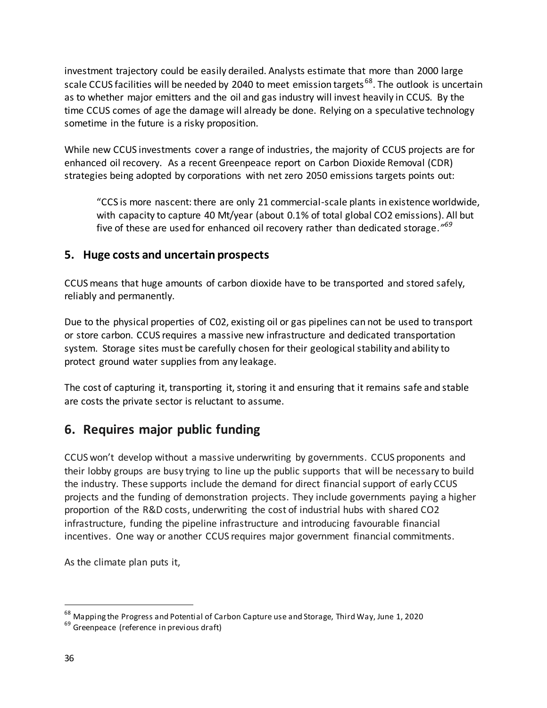investment trajectory could be easily derailed. Analysts estimate that more than 2000 large scale CCUS facilities will be needed by 2040 to meet emission targets<sup>68</sup>. The outlook is uncertain as to whether major emitters and the oil and gas industry will invest heavily in CCUS. By the time CCUS comes of age the damage will already be done. Relying on a speculative technology sometime in the future is a risky proposition.

While new CCUS investments cover a range of industries, the majority of CCUS projects are for enhanced oil recovery. As a recent Greenpeace report on Carbon Dioxide Removal (CDR) strategies being adopted by corporations with net zero 2050 emissions targets points out:

"CCS is more nascent: there are only 21 commercial-scale plants in existence worldwide, with capacity to capture 40 Mt/year (about 0.1% of total global CO2 emissions). All but five of these are used for enhanced oil recovery rather than dedicated storage.<sup>1769</sup>

### **5. Huge costs and uncertain prospects**

CCUS means that huge amounts of carbon dioxide have to be transported and stored safely, reliably and permanently.

Due to the physical properties of C02, existing oil or gas pipelines can not be used to transport or store carbon. CCUS requires a massive new infrastructure and dedicated transportation system. Storage sites must be carefully chosen for their geological stability and ability to protect ground water supplies from any leakage.

The cost of capturing it, transporting it, storing it and ensuring that it remains safe and stable are costs the private sector is reluctant to assume.

## **6. Requires major public funding**

CCUS won't develop without a massive underwriting by governments. CCUS proponents and their lobby groups are busy trying to line up the public supports that will be necessary to build the industry. These supports include the demand for direct financial support of early CCUS projects and the funding of demonstration projects. They include governments paying a higher proportion of the R&D costs, underwriting the cost of industrial hubs with shared CO2 infrastructure, funding the pipeline infrastructure and introducing favourable financial incentives. One way or another CCUS requires major government financial commitments.

As the climate plan puts it,

<sup>68</sup> Mapping the Progress and Potential of Carbon Capture use and Storage, Third Way, June 1, 2020

<sup>&</sup>lt;sup>69</sup> Greenpeace (reference in previous draft)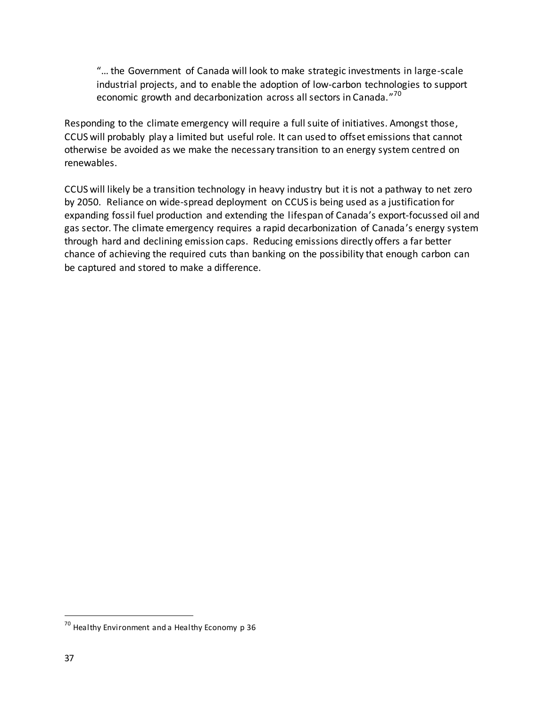"… the Government of Canada will look to make strategic investments in large-scale industrial projects, and to enable the adoption of low-carbon technologies to support economic growth and decarbonization across all sectors in Canada."<sup>70</sup>

Responding to the climate emergency will require a full suite of initiatives. Amongst those, CCUS will probably play a limited but useful role. It can used to offset emissions that cannot otherwise be avoided as we make the necessary transition to an energy system centred on renewables.

CCUS will likely be a transition technology in heavy industry but it is not a pathway to net zero by 2050. Reliance on wide-spread deployment on CCUS is being used as a justification for expanding fossil fuel production and extending the lifespan of Canada's export-focussed oil and gas sector. The climate emergency requires a rapid decarbonization of Canada's energy system through hard and declining emission caps. Reducing emissions directly offers a far better chance of achieving the required cuts than banking on the possibility that enough carbon can be captured and stored to make a difference.

 $^{70}$  Healthy Environment and a Healthy Economy p 36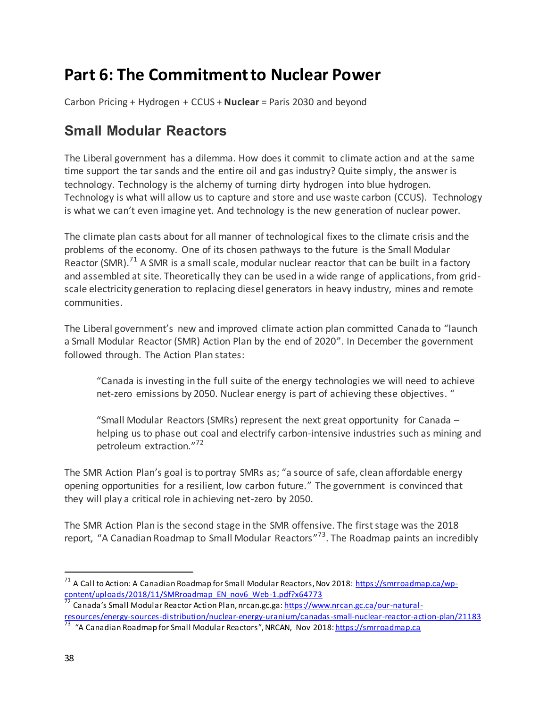# **Part 6: The Commitment to Nuclear Power**

Carbon Pricing + Hydrogen + CCUS + **Nuclear** = Paris 2030 and beyond

# **Small Modular Reactors**

The Liberal government has a dilemma. How does it commit to climate action and at the same time support the tar sands and the entire oil and gas industry? Quite simply, the answer is technology. Technology is the alchemy of turning dirty hydrogen into blue hydrogen. Technology is what will allow us to capture and store and use waste carbon (CCUS). Technology is what we can't even imagine yet. And technology is the new generation of nuclear power.

The climate plan casts about for all manner of technological fixes to the climate crisis and the problems of the economy. One of its chosen pathways to the future is the Small Modular Reactor (SMR).<sup>71</sup> A SMR is a small scale, modular nuclear reactor that can be built in a factory and assembled at site. Theoretically they can be used in a wide range of applications, from gridscale electricity generation to replacing diesel generators in heavy industry, mines and remote communities.

The Liberal government's new and improved climate action plan committed Canada to "launch a Small Modular Reactor (SMR) Action Plan by the end of 2020". In December the government followed through. The Action Plan states:

"Canada is investing in the full suite of the energy technologies we will need to achieve net-zero emissions by 2050. Nuclear energy is part of achieving these objectives. "

"Small Modular Reactors (SMRs) represent the next great opportunity for Canada – helping us to phase out coal and electrify carbon-intensive industries such as mining and petroleum extraction."<sup>72</sup>

The SMR Action Plan's goal is to portray SMRs as; "a source of safe, clean affordable energy opening opportunities for a resilient, low carbon future." The government is convinced that they will play a critical role in achieving net-zero by 2050.

The SMR Action Plan is the second stage in the SMR offensive. The first stage was the 2018 report, "A Canadian Roadmap to Small Modular Reactors"<sup>73</sup>. The Roadmap paints an incredibly

<sup>&</sup>lt;sup>71</sup> A Call to Action: A Canadian Roadmap for Small Modular Reactors, Nov 2018[: https://smrroadmap.ca/wp](https://smrroadmap.ca/wp-content/uploads/2018/11/SMRroadmap_EN_nov6_Web-1.pdf?x64773)content/uploads/2018/11/SMRroadmap\_EN\_nov6\_Web-1.pdf?x64773

<sup>72</sup> Canada's Small Modular Reactor Action Plan, nrcan.gc.ga: [https://www.nrcan.gc.ca/our-natural](https://www.nrcan.gc.ca/our-natural-resources/energy-sources-distribution/nuclear-energy-uranium/canadas-small-nuclear-reactor-action-plan/21183)[resources/energy-sources-distribution/nuclear-energy-uranium/canadas-small-nuclear-reactor-action-plan/21183](https://www.nrcan.gc.ca/our-natural-resources/energy-sources-distribution/nuclear-energy-uranium/canadas-small-nuclear-reactor-action-plan/21183)<br><sup>73</sup> "A Canadian Roadmap for Small Modular Reactors", NRCAN, Nov 2018: <u>https://smrroadmap.ca</u>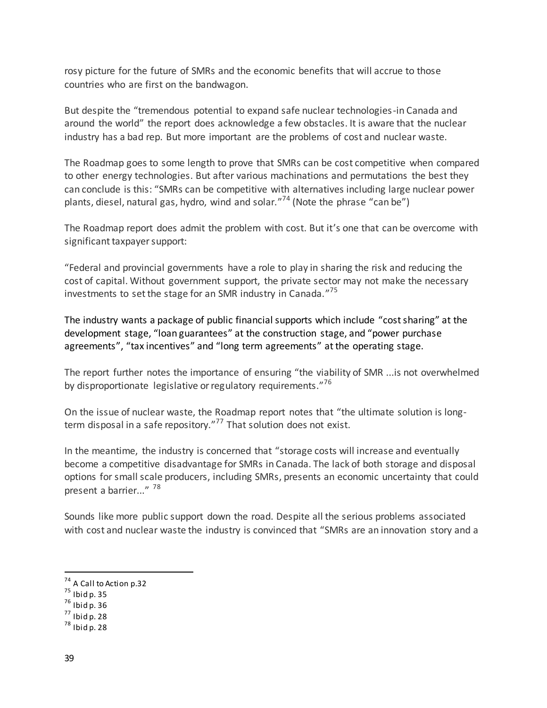rosy picture for the future of SMRs and the economic benefits that will accrue to those countries who are first on the bandwagon.

But despite the "tremendous potential to expand safe nuclear technologies-in Canada and around the world" the report does acknowledge a few obstacles. It is aware that the nuclear industry has a bad rep. But more important are the problems of cost and nuclear waste.

The Roadmap goes to some length to prove that SMRs can be cost competitive when compared to other energy technologies. But after various machinations and permutations the best they can conclude is this: "SMRs can be competitive with alternatives including large nuclear power plants, diesel, natural gas, hydro, wind and solar."<sup>74</sup> (Note the phrase "can be")

The Roadmap report does admit the problem with cost. But it's one that can be overcome with significant taxpayer support:

"Federal and provincial governments have a role to play in sharing the risk and reducing the cost of capital. Without government support, the private sector may not make the necessary investments to set the stage for an SMR industry in Canada."<sup>75</sup>

The industry wants a package of public financial supports which include "cost sharing" at the development stage, "loan guarantees" at the construction stage, and "power purchase agreements", "tax incentives" and "long term agreements" at the operating stage.

The report further notes the importance of ensuring "the viability of SMR ...is not overwhelmed by disproportionate legislative or regulatory requirements."<sup>76</sup>

On the issue of nuclear waste, the Roadmap report notes that "the ultimate solution is longterm disposal in a safe repository."<sup>77</sup> That solution does not exist.

In the meantime, the industry is concerned that "storage costs will increase and eventually become a competitive disadvantage for SMRs in Canada. The lack of both storage and disposal options for small scale producers, including SMRs, presents an economic uncertainty that could present a barrier..."<sup>78</sup>

Sounds like more public support down the road. Despite all the serious problems associated with cost and nuclear waste the industry is convinced that "SMRs are an innovation story and a

 $7<sup>4</sup>$  A Call to Action p.32

 $75$  Ibid p. 35

 $76$  Ibid p. 36

 $<sup>77</sup>$  Ibid p. 28</sup>

 $78$  Ibid p. 28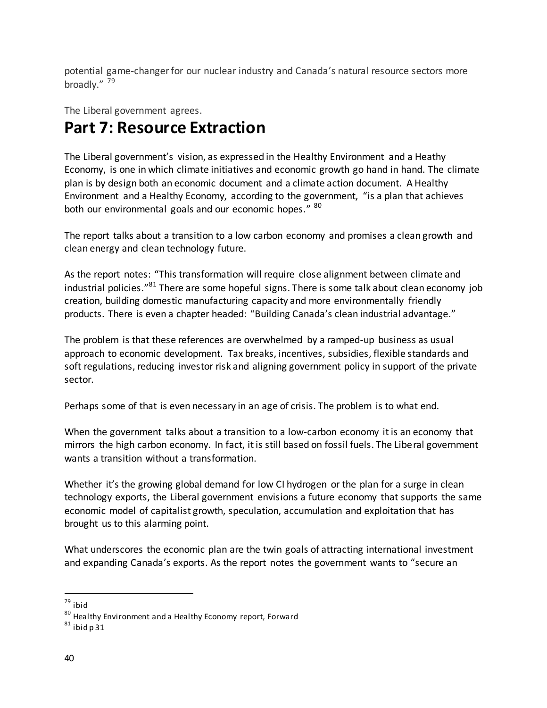potential game-changer for our nuclear industry and Canada's natural resource sectors more broadly."<sup>79</sup>

The Liberal government agrees.

# **Part 7: Resource Extraction**

The Liberal government's vision, as expressed in the Healthy Environment and a Heathy Economy, is one in which climate initiatives and economic growth go hand in hand. The climate plan is by design both an economic document and a climate action document. A Healthy Environment and a Healthy Economy, according to the government, "is a plan that achieves both our environmental goals and our economic hopes." <sup>80</sup>

The report talks about a transition to a low carbon economy and promises a clean growth and clean energy and clean technology future.

As the report notes: "This transformation will require close alignment between climate and industrial policies."<sup>81</sup> There are some hopeful signs. There is some talk about clean economy job creation, building domestic manufacturing capacity and more environmentally friendly products. There is even a chapter headed: "Building Canada's clean industrial advantage."

The problem is that these references are overwhelmed by a ramped-up business as usual approach to economic development. Tax breaks, incentives, subsidies, flexible standards and soft regulations, reducing investor risk and aligning government policy in support of the private sector.

Perhaps some of that is even necessary in an age of crisis. The problem is to what end.

When the government talks about a transition to a low-carbon economy it is an economy that mirrors the high carbon economy. In fact, it is still based on fossil fuels. The Liberal government wants a transition without a transformation.

Whether it's the growing global demand for low CI hydrogen or the plan for a surge in clean technology exports, the Liberal government envisions a future economy that supports the same economic model of capitalist growth, speculation, accumulation and exploitation that has brought us to this alarming point.

What underscores the economic plan are the twin goals of attracting international investment and expanding Canada's exports. As the report notes the government wants to "secure an

l <sup>79</sup> ibid

<sup>80</sup> Healthy Environment and a Healthy Economy report, Forward

 $81$  ibid p 31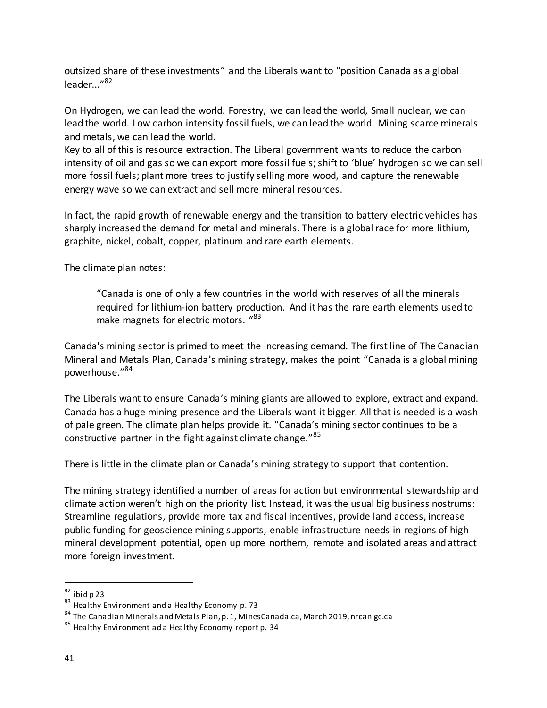outsized share of these investments" and the Liberals want to "position Canada as a global leader..."<sup>82</sup>

On Hydrogen, we can lead the world. Forestry, we can lead the world, Small nuclear, we can lead the world. Low carbon intensity fossil fuels, we can lead the world. Mining scarce minerals and metals, we can lead the world.

Key to all of this is resource extraction. The Liberal government wants to reduce the carbon intensity of oil and gas so we can export more fossil fuels; shift to 'blue' hydrogen so we can sell more fossil fuels; plant more trees to justify selling more wood, and capture the renewable energy wave so we can extract and sell more mineral resources.

In fact, the rapid growth of renewable energy and the transition to battery electric vehicles has sharply increased the demand for metal and minerals. There is a global race for more lithium, graphite, nickel, cobalt, copper, platinum and rare earth elements.

The climate plan notes:

"Canada is one of only a few countries in the world with reserves of all the minerals required for lithium-ion battery production. And it has the rare earth elements used to make magnets for electric motors. "<sup>83</sup>

Canada's mining sector is primed to meet the increasing demand. The first line of The Canadian Mineral and Metals Plan, Canada's mining strategy, makes the point "Canada is a global mining powerhouse." 84

The Liberals want to ensure Canada's mining giants are allowed to explore, extract and expand. Canada has a huge mining presence and the Liberals want it bigger. All that is needed is a wash of pale green. The climate plan helps provide it. "Canada's mining sector continues to be a constructive partner in the fight against climate change."<sup>85</sup>

There is little in the climate plan or Canada's mining strategy to support that contention.

The mining strategy identified a number of areas for action but environmental stewardship and climate action weren't high on the priority list. Instead, it was the usual big business nostrums: Streamline regulations, provide more tax and fiscal incentives, provide land access, increase public funding for geoscience mining supports, enable infrastructure needs in regions of high mineral development potential, open up more northern, remote and isolated areas and attract more foreign investment.

 $82$  ibid p 23

<sup>83</sup> Healthy Environment and a Healthy Economy p. 73

<sup>84</sup> The Canadian Minerals and Metals Plan, p. 1, MinesCanada.ca, March 2019, nrcan.gc.ca

<sup>&</sup>lt;sup>85</sup> Healthy Environment ad a Healthy Economy report p. 34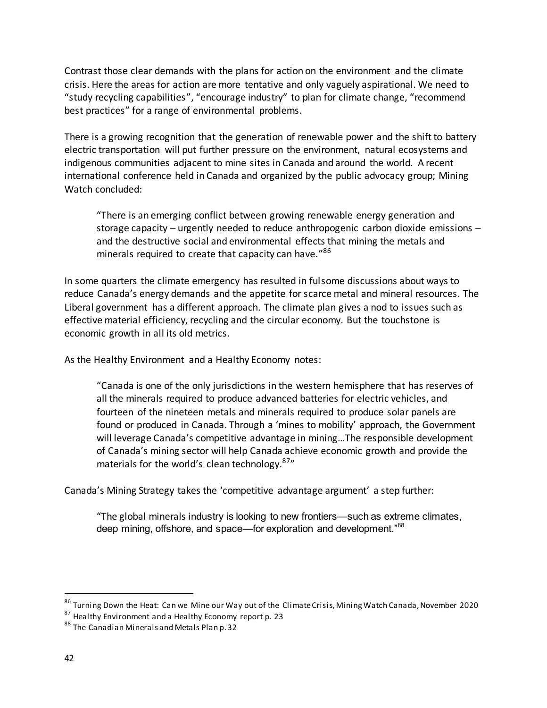Contrast those clear demands with the plans for action on the environment and the climate crisis. Here the areas for action are more tentative and only vaguely aspirational. We need to "study recycling capabilities", "encourage industry" to plan for climate change, "recommend best practices" for a range of environmental problems.

There is a growing recognition that the generation of renewable power and the shift to battery electric transportation will put further pressure on the environment, natural ecosystems and indigenous communities adjacent to mine sites in Canada and around the world. A recent international conference held in Canada and organized by the public advocacy group; Mining Watch concluded:

"There is an emerging conflict between growing renewable energy generation and storage capacity – urgently needed to reduce anthropogenic carbon dioxide emissions – and the destructive social and environmental effects that mining the metals and minerals required to create that capacity can have."<sup>86</sup>

In some quarters the climate emergency has resulted in fulsome discussions about ways to reduce Canada's energy demands and the appetite for scarce metal and mineral resources. The Liberal government has a different approach. The climate plan gives a nod to issues such as effective material efficiency, recycling and the circular economy. But the touchstone is economic growth in all its old metrics.

As the Healthy Environment and a Healthy Economy notes:

"Canada is one of the only jurisdictions in the western hemisphere that has reserves of all the minerals required to produce advanced batteries for electric vehicles, and fourteen of the nineteen metals and minerals required to produce solar panels are found or produced in Canada. Through a 'mines to mobility' approach, the Government will leverage Canada's competitive advantage in mining…The responsible development of Canada's mining sector will help Canada achieve economic growth and provide the materials for the world's clean technology.<sup>87</sup>

Canada's Mining Strategy takes the 'competitive advantage argument' a step further:

"The global minerals industry is looking to new frontiers—such as extreme climates, deep mining, offshore, and space—for exploration and development."<sup>88</sup>

<sup>&</sup>lt;sup>86</sup> Turning Down the Heat: Can we Mine our Way out of the Climate Crisis, Mining Watch Canada, November 2020

 $\frac{87}{2}$  Healthy Environment and a Healthy Economy report p. 23

<sup>88</sup> The Canadian Minerals and Metals Plan p. 32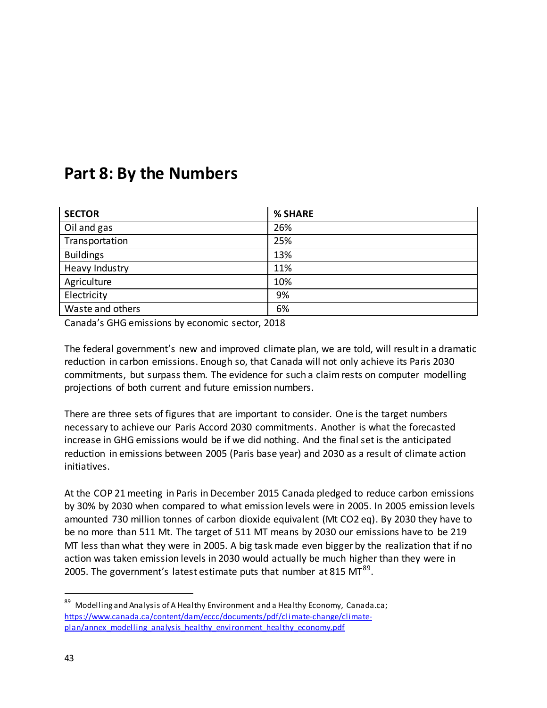# **Part 8: By the Numbers**

| <b>SECTOR</b>    | % SHARE |
|------------------|---------|
| Oil and gas      | 26%     |
| Transportation   | 25%     |
| <b>Buildings</b> | 13%     |
| Heavy Industry   | 11%     |
| Agriculture      | 10%     |
| Electricity      | 9%      |
| Waste and others | 6%      |

Canada's GHG emissions by economic sector, 2018

The federal government's new and improved climate plan, we are told, will result in a dramatic reduction in carbon emissions. Enough so, that Canada will not only achieve its Paris 2030 commitments, but surpass them. The evidence for such a claim rests on computer modelling projections of both current and future emission numbers.

There are three sets of figures that are important to consider. One is the target numbers necessary to achieve our Paris Accord 2030 commitments. Another is what the forecasted increase in GHG emissions would be if we did nothing. And the final set is the anticipated reduction in emissions between 2005 (Paris base year) and 2030 as a result of climate action initiatives.

At the COP 21 meeting in Paris in December 2015 Canada pledged to reduce carbon emissions by 30% by 2030 when compared to what emission levels were in 2005. In 2005 emission levels amounted 730 million tonnes of carbon dioxide equivalent (Mt CO2 eq). By 2030 they have to be no more than 511 Mt. The target of 511 MT means by 2030 our emissions have to be 219 MT less than what they were in 2005. A big task made even bigger by the realization that if no action was taken emission levels in 2030 would actually be much higher than they were in 2005. The government's latest estimate puts that number at 815 MT $^{89}$ .

<sup>&</sup>lt;sup>89</sup> Modelling and Analysis of A Healthy Environment and a Healthy Economy, Canada.ca; [https://www.canada.ca/content/dam/eccc/documents/pdf/cli mate-change/climate](https://www.canada.ca/content/dam/eccc/documents/pdf/climate-change/climate-plan/annex_modelling_analysis_healthy_environment_healthy_economy.pdf)plan/annex\_modelling\_analysis\_healthy\_environment\_healthy\_economy.pdf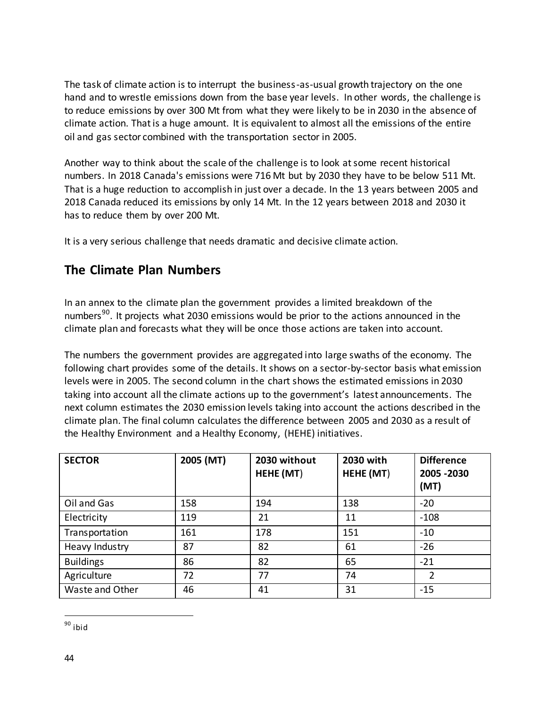The task of climate action is to interrupt the business-as-usual growth trajectory on the one hand and to wrestle emissions down from the base year levels. In other words, the challenge is to reduce emissions by over 300 Mt from what they were likely to be in 2030 in the absence of climate action. That is a huge amount. It is equivalent to almost all the emissions of the entire oil and gas sector combined with the transportation sector in 2005.

Another way to think about the scale of the challenge is to look at some recent historical numbers. In 2018 Canada's emissions were 716 Mt but by 2030 they have to be below 511 Mt. That is a huge reduction to accomplish in just over a decade. In the 13 years between 2005 and 2018 Canada reduced its emissions by only 14 Mt. In the 12 years between 2018 and 2030 it has to reduce them by over 200 Mt.

It is a very serious challenge that needs dramatic and decisive climate action.

## **The Climate Plan Numbers**

In an annex to the climate plan the government provides a limited breakdown of the numbers<sup>90</sup>. It projects what 2030 emissions would be prior to the actions announced in the climate plan and forecasts what they will be once those actions are taken into account.

The numbers the government provides are aggregated into large swaths of the economy. The following chart provides some of the details. It shows on a sector-by-sector basis what emission levels were in 2005. The second column in the chart shows the estimated emissions in 2030 taking into account all the climate actions up to the government's latest announcements. The next column estimates the 2030 emission levels taking into account the actions described in the climate plan. The final column calculates the difference between 2005 and 2030 as a result of the Healthy Environment and a Healthy Economy, (HEHE) initiatives.

| <b>SECTOR</b>    | 2005 (MT) | 2030 without<br>HEHE (MT) | 2030 with<br>HEHE (MT) | <b>Difference</b><br>2005 - 2030<br>(MT) |
|------------------|-----------|---------------------------|------------------------|------------------------------------------|
| Oil and Gas      | 158       | 194                       | 138                    | $-20$                                    |
| Electricity      | 119       | 21                        | 11                     | $-108$                                   |
| Transportation   | 161       | 178                       | 151                    | $-10$                                    |
| Heavy Industry   | 87        | 82                        | 61                     | $-26$                                    |
| <b>Buildings</b> | 86        | 82                        | 65                     | $-21$                                    |
| Agriculture      | 72        | 77                        | 74                     | 2                                        |
| Waste and Other  | 46        | 41                        | 31                     | $-15$                                    |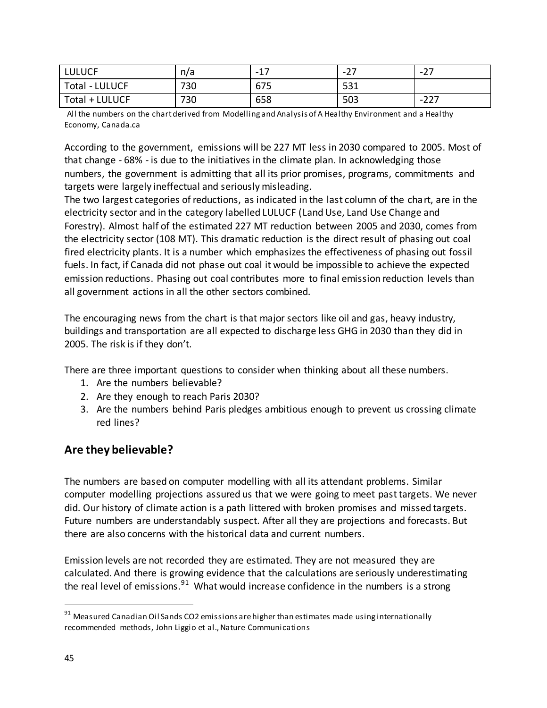| <b>LULUCF</b>         | n/a | $\sim$<br>$\overline{\phantom{0}}$<br>- | ~-<br>-<br><u>.</u> | $\overline{\phantom{0}}$<br>. . |
|-----------------------|-----|-----------------------------------------|---------------------|---------------------------------|
| <b>Total - LULUCF</b> | 730 | 675                                     | <b>CO1</b><br>⊃⊃⊥   |                                 |
| Total + LULUCF        | 730 | 658                                     | 503                 | ີ<br>- -<br>. Z Z I             |

All the numbers on the chart derived from Modelling and Analysis of A Healthy Environment and a Healthy Economy, Canada.ca

According to the government, emissions will be 227 MT less in 2030 compared to 2005. Most of that change - 68% - is due to the initiatives in the climate plan. In acknowledging those numbers, the government is admitting that all its prior promises, programs, commitments and targets were largely ineffectual and seriously misleading.

The two largest categories of reductions, as indicated in the last column of the chart, are in the electricity sector and in the category labelled LULUCF (Land Use, Land Use Change and Forestry). Almost half of the estimated 227 MT reduction between 2005 and 2030, comes from the electricity sector (108 MT). This dramatic reduction is the direct result of phasing out coal fired electricity plants. It is a number which emphasizes the effectiveness of phasing out fossil fuels. In fact, if Canada did not phase out coal it would be impossible to achieve the expected emission reductions. Phasing out coal contributes more to final emission reduction levels than all government actions in all the other sectors combined.

The encouraging news from the chart is that major sectors like oil and gas, heavy industry, buildings and transportation are all expected to discharge less GHG in 2030 than they did in 2005. The risk is if they don't.

There are three important questions to consider when thinking about all these numbers.

- 1. Are the numbers believable?
- 2. Are they enough to reach Paris 2030?
- 3. Are the numbers behind Paris pledges ambitious enough to prevent us crossing climate red lines?

### **Are they believable?**

The numbers are based on computer modelling with all its attendant problems. Similar computer modelling projections assured us that we were going to meet past targets. We never did. Our history of climate action is a path littered with broken promises and missed targets. Future numbers are understandably suspect. After all they are projections and forecasts. But there are also concerns with the historical data and current numbers.

Emission levels are not recorded they are estimated. They are not measured they are calculated. And there is growing evidence that the calculations are seriously underestimating the real level of emissions. $^{91}$  What would increase confidence in the numbers is a strong

 $91$  Measured Canadian Oil Sands CO2 emissions are higher than estimates made using internationally recommended methods, John Liggio et al., Nature Communications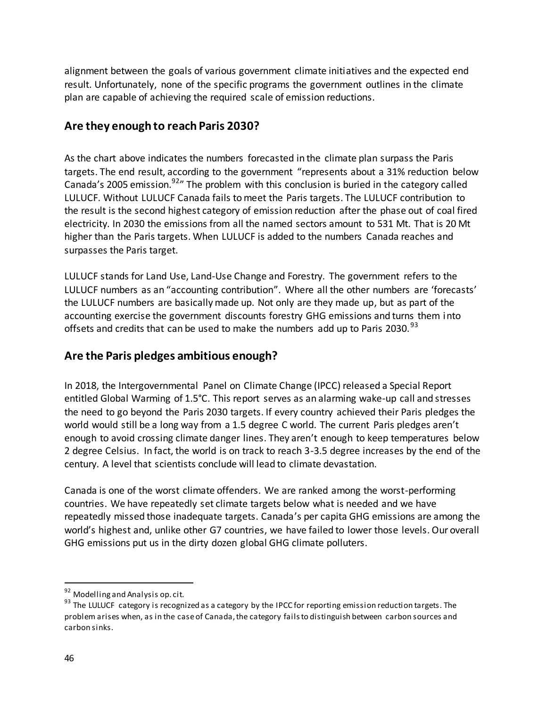alignment between the goals of various government climate initiatives and the expected end result. Unfortunately, none of the specific programs the government outlines in the climate plan are capable of achieving the required scale of emission reductions.

### **Are they enough to reach Paris 2030?**

As the chart above indicates the numbers forecasted in the climate plan surpass the Paris targets. The end result, according to the government "represents about a 31% reduction below Canada's 2005 emission.<sup>92</sup>" The problem with this conclusion is buried in the category called LULUCF. Without LULUCF Canada fails to meet the Paris targets. The LULUCF contribution to the result is the second highest category of emission reduction after the phase out of coal fired electricity. In 2030 the emissions from all the named sectors amount to 531 Mt. That is 20 Mt higher than the Paris targets. When LULUCF is added to the numbers Canada reaches and surpasses the Paris target.

LULUCF stands for Land Use, Land-Use Change and Forestry. The government refers to the LULUCF numbers as an "accounting contribution". Where all the other numbers are 'forecasts' the LULUCF numbers are basically made up. Not only are they made up, but as part of the accounting exercise the government discounts forestry GHG emissions and turns them into offsets and credits that can be used to make the numbers add up to Paris 2030. $^{93}$ 

### **Are the Paris pledges ambitious enough?**

In 2018, the Intergovernmental Panel on Climate Change (IPCC) released a Special Report entitled Global Warming of 1.5°C. This report serves as an alarming wake-up call and stresses the need to go beyond the Paris 2030 targets. If every country achieved their Paris pledges the world would still be a long way from a 1.5 degree C world. The current Paris pledges aren't enough to avoid crossing climate danger lines. They aren't enough to keep temperatures below 2 degree Celsius. In fact, the world is on track to reach 3-3.5 degree increases by the end of the century. A level that scientists conclude will lead to climate devastation.

Canada is one of the worst climate offenders. We are ranked among the worst-performing countries. We have repeatedly set climate targets below what is needed and we have repeatedly missed those inadequate targets. Canada's per capita GHG emissions are among the world's highest and, unlike other G7 countries, we have failed to lower those levels. Our overall GHG emissions put us in the dirty dozen global GHG climate polluters.

<sup>&</sup>lt;sup>92</sup> Modelling and Analysis op. cit.

 $93$  The LULUCF category is recognized as a category by the IPCC for reporting emission reduction targets. The problem arises when, as in the case of Canada, the category fails to distinguish between carbon sources and carbon sinks.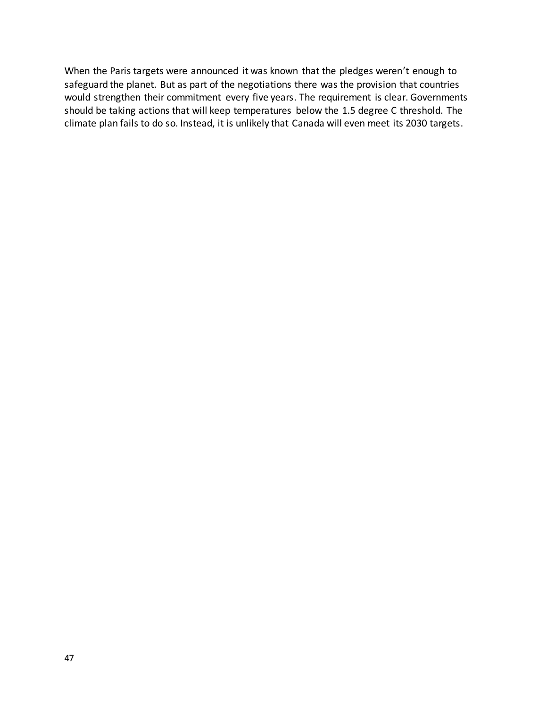When the Paris targets were announced it was known that the pledges weren't enough to safeguard the planet. But as part of the negotiations there was the provision that countries would strengthen their commitment every five years. The requirement is clear. Governments should be taking actions that will keep temperatures below the 1.5 degree C threshold. The climate plan fails to do so. Instead, it is unlikely that Canada will even meet its 2030 targets.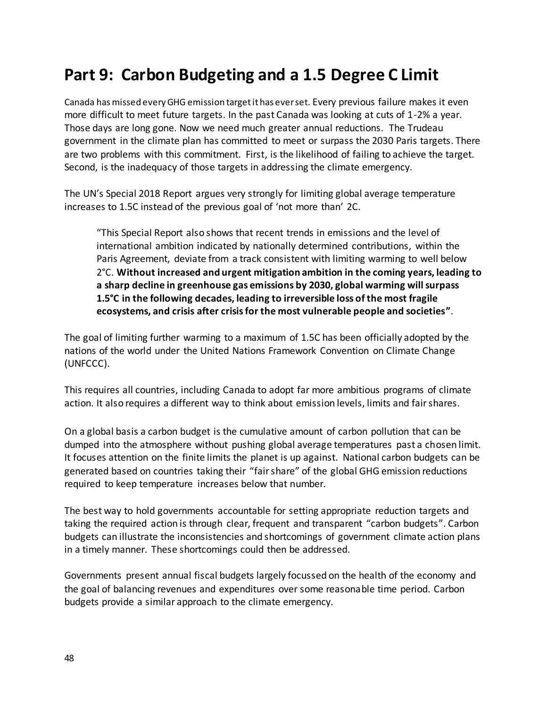# **Part 9: Carbon Budgeting and a 1.5 Degree C Limit**

Canada has missed every GHG emission target it has ever set. Every previous failure makes it even more difficult to meet future targets. In the past Canada was looking at cuts of 1-2% a year. Those days are long gone. Now we need much greater annual reductions. The Trudeau government in the climate plan has committed to meet or surpass the 2030 Paris targets. There are two problems with this commitment. First, is the likelihood of failing to achieve the target. Second, is the inadequacy of those targets in addressing the climate emergency.

The UN's Special 2018 Report argues very strongly for limiting global average temperature increases to 1.5C instead of the previous goal of 'not more than' 2C.

"This Special Report also shows that recent trends in emissions and the level of international ambition indicated by nationally determined contributions, within the Paris Agreement, deviate from a track consistent with limiting warming to well below 2°C. **Without increased and urgent mitigation ambition in the coming years, leading to a sharp decline in greenhouse gas emissions by 2030, global warming will surpass 1.5°C in the following decades, leading to irreversible loss of the most fragile ecosystems, and crisis after crisis for the most vulnerable people and societies"**.

The goal of limiting further warming to a maximum of 1.5C has been officially adopted by the nations of the world under the United Nations Framework Convention on Climate Change (UNFCCC).

This requires all countries, including Canada to adopt far more ambitious programs of climate action. It also requires a different way to think about emission levels, limits and fair shares.

On a global basis a carbon budget is the cumulative amount of carbon pollution that can be dumped into the atmosphere without pushing global average temperatures past a chosen limit. It focuses attention on the finite limits the planet is up against. National carbon budgets can be generated based on countries taking their "fair share" of the global GHG emission reductions required to keep temperature increases below that number.

The best way to hold governments accountable for setting appropriate reduction targets and taking the required action is through clear, frequent and transparent "carbon budgets". Carbon budgets can illustrate the inconsistencies and shortcomings of government climate action plans in a timely manner. These shortcomings could then be addressed.

Governments present annual fiscal budgets largely focussed on the health of the economy and the goal of balancing revenues and expenditures over some reasonable time period. Carbon budgets provide a similar approach to the climate emergency.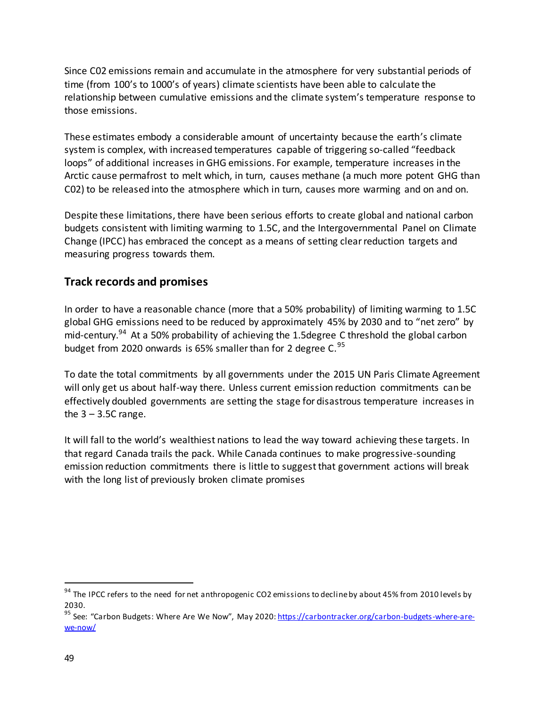Since C02 emissions remain and accumulate in the atmosphere for very substantial periods of time (from 100's to 1000's of years) climate scientists have been able to calculate the relationship between cumulative emissions and the climate system's temperature response to those emissions.

These estimates embody a considerable amount of uncertainty because the earth's climate system is complex, with increased temperatures capable of triggering so-called "feedback loops" of additional increases in GHG emissions. For example, temperature increases in the Arctic cause permafrost to melt which, in turn, causes methane (a much more potent GHG than C02) to be released into the atmosphere which in turn, causes more warming and on and on.

Despite these limitations, there have been serious efforts to create global and national carbon budgets consistent with limiting warming to 1.5C, and the Intergovernmental Panel on Climate Change (IPCC) has embraced the concept as a means of setting clear reduction targets and measuring progress towards them.

### **Track records and promises**

In order to have a reasonable chance (more that a 50% probability) of limiting warming to 1.5C global GHG emissions need to be reduced by approximately 45% by 2030 and to "net zero" by mid-century.<sup>94</sup> At a 50% probability of achieving the 1.5 degree C threshold the global carbon budget from 2020 onwards is 65% smaller than for 2 degree C. $^{95}$ 

To date the total commitments by all governments under the 2015 UN Paris Climate Agreement will only get us about half-way there. Unless current emission reduction commitments can be effectively doubled governments are setting the stage for disastrous temperature increases in the  $3 - 3.5C$  range.

It will fall to the world's wealthiest nations to lead the way toward achieving these targets. In that regard Canada trails the pack. While Canada continues to make progressive-sounding emission reduction commitments there is little to suggest that government actions will break with the long list of previously broken climate promises

<sup>&</sup>lt;sup>94</sup> The IPCC refers to the need for net anthropogenic CO2 emissions to decline by about 45% from 2010 levels by 2030.

<sup>&</sup>lt;sup>95</sup> See: "Carbon Budgets: Where Are We Now", May 2020: [https://carbontracker.org/carbon-budgets-where-are](https://carbontracker.org/carbon-budgets-where-are-we-now/)[we-now/](https://carbontracker.org/carbon-budgets-where-are-we-now/)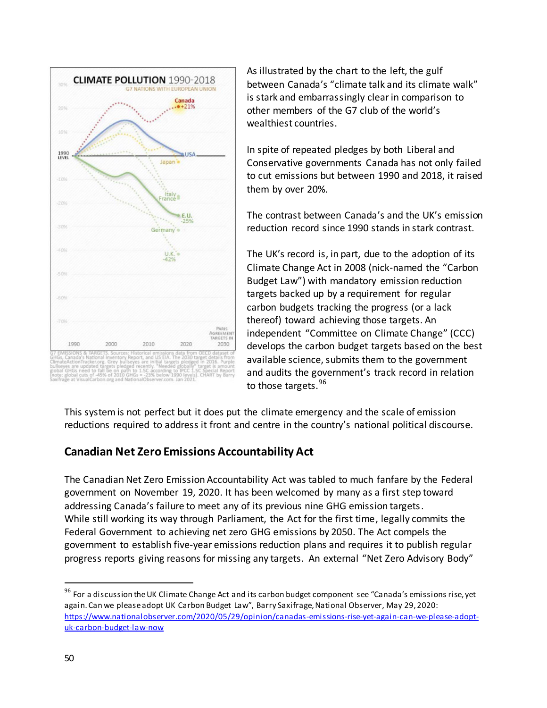

As illustrated by the chart to the left, the gulf between Canada's "climate talk and its climate walk" is stark and embarrassingly clear in comparison to other members of the G7 club of the world's wealthiest countries.

In spite of repeated pledges by both Liberal and Conservative governments Canada has not only failed to cut emissions but between 1990 and 2018, it raised them by over 20%.

The contrast between Canada's and the UK's emission reduction record since 1990 stands in stark contrast.

The UK's record is, in part, due to the adoption of its Climate Change Act in 2008 (nick-named the "Carbon Budget Law") with mandatory emission reduction targets backed up by a requirement for regular carbon budgets tracking the progress (or a lack thereof) toward achieving those targets. An independent "Committee on Climate Change" (CCC) develops the carbon budget targets based on the best available science, submits them to the government and audits the government's track record in relation to those targets.<sup>96</sup>

This system is not perfect but it does put the climate emergency and the scale of emission reductions required to address it front and centre in the country's national political discourse.

### **Canadian Net Zero Emissions Accountability Act**

The Canadian Net Zero Emission Accountability Act was tabled to much fanfare by the Federal government on November 19, 2020. It has been welcomed by many as a first step toward addressing Canada's failure to meet any of its previous nine GHG emission targets. While still working its way through Parliament, the Act for the first time, legally commits the Federal Government to achieving net zero GHG emissions by 2050. The Act compels the government to establish five-year emissions reduction plans and requires it to publish regular progress reports giving reasons for missing any targets. An external "Net Zero Advisory Body"

<sup>&</sup>lt;sup>96</sup> For a discussion the UK Climate Change Act and its carbon budget component see "Canada's emissions rise, yet again. Can we please adopt UK Carbon Budget Law", Barry Saxifrage, National Observer, May 29, 2020: [https://www.nationalobserver.com/2020/05/29/opinion/canadas-emissions-rise-yet-again-can-we-please-adopt](https://www.nationalobserver.com/2020/05/29/opinion/canadas-emissions-rise-yet-again-can-we-please-adopt-uk-carbon-budget-law-now)[uk-carbon-budget-law-now](https://www.nationalobserver.com/2020/05/29/opinion/canadas-emissions-rise-yet-again-can-we-please-adopt-uk-carbon-budget-law-now)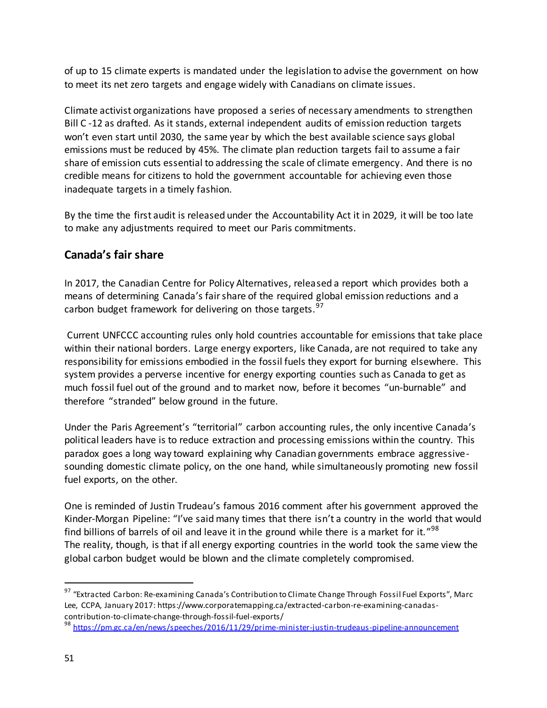of up to 15 climate experts is mandated under the legislation to advise the government on how to meet its net zero targets and engage widely with Canadians on climate issues.

Climate activist organizations have proposed a series of necessary amendments to strengthen Bill C -12 as drafted. As it stands, external independent audits of emission reduction targets won't even start until 2030, the same year by which the best available science says global emissions must be reduced by 45%. The climate plan reduction targets fail to assume a fair share of emission cuts essential to addressing the scale of climate emergency. And there is no credible means for citizens to hold the government accountable for achieving even those inadequate targets in a timely fashion.

By the time the first audit is released under the Accountability Act it in 2029, it will be too late to make any adjustments required to meet our Paris commitments.

### **Canada's fair share**

In 2017, the Canadian Centre for Policy Alternatives, released a report which provides both a means of determining Canada's fair share of the required global emission reductions and a carbon budget framework for delivering on those targets.  $97$ 

 Current UNFCCC accounting rules only hold countries accountable for emissions that take place within their national borders. Large energy exporters, like Canada, are not required to take any responsibility for emissions embodied in the fossil fuels they export for burning elsewhere. This system provides a perverse incentive for energy exporting counties such as Canada to get as much fossil fuel out of the ground and to market now, before it becomes "un-burnable" and therefore "stranded" below ground in the future.

Under the Paris Agreement's "territorial" carbon accounting rules, the only incentive Canada's political leaders have is to reduce extraction and processing emissions within the country. This paradox goes a long way toward explaining why Canadian governments embrace aggressivesounding domestic climate policy, on the one hand, while simultaneously promoting new fossil fuel exports, on the other.

One is reminded of Justin Trudeau's famous 2016 comment after his government approved the Kinder-Morgan Pipeline: "I've said many times that there isn't a country in the world that would find billions of barrels of oil and leave it in the ground while there is a market for it."<sup>98</sup> The reality, though, is that if all energy exporting countries in the world took the same view the global carbon budget would be blown and the climate completely compromised.

<sup>&</sup>lt;sup>97</sup> "Extracted Carbon: Re-examining Canada's Contribution to Climate Change Through Fossil Fuel Exports", Marc Lee, CCPA, January 2017: https://www.corporatemapping.ca/extracted-carbon-re-examining-canadascontribution-to-climate-change-through-fossil-fuel-exports/

<sup>98</sup> <https://pm.gc.ca/en/news/speeches/2016/11/29/prime-minister-justin-trudeaus-pipeline-announcement>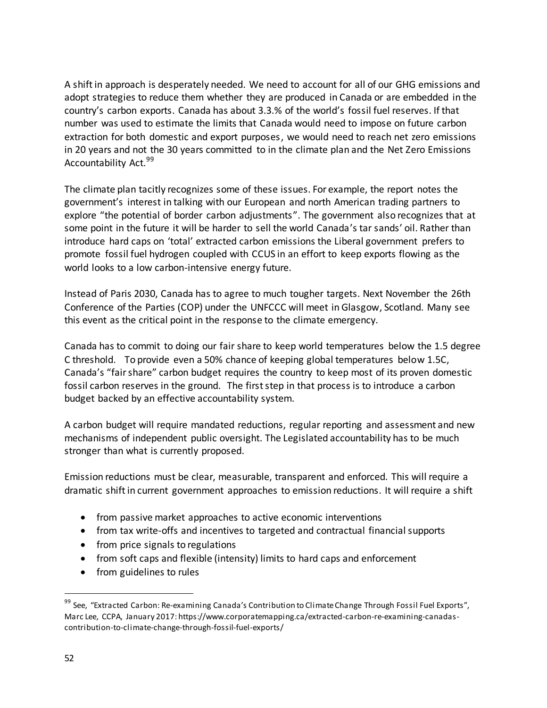A shift in approach is desperately needed. We need to account for all of our GHG emissions and adopt strategies to reduce them whether they are produced in Canada or are embedded in the country's carbon exports. Canada has about 3.3.% of the world's fossil fuel reserves. If that number was used to estimate the limits that Canada would need to impose on future carbon extraction for both domestic and export purposes, we would need to reach net zero emissions in 20 years and not the 30 years committed to in the climate plan and the Net Zero Emissions Accountability Act.<sup>99</sup>

The climate plan tacitly recognizes some of these issues. For example, the report notes the government's interest in talking with our European and north American trading partners to explore "the potential of border carbon adjustments". The government also recognizes that at some point in the future it will be harder to sell the world Canada's tar sands' oil. Rather than introduce hard caps on 'total' extracted carbon emissions the Liberal government prefers to promote fossil fuel hydrogen coupled with CCUS in an effort to keep exports flowing as the world looks to a low carbon-intensive energy future.

Instead of Paris 2030, Canada has to agree to much tougher targets. Next November the 26th Conference of the Parties (COP) under the UNFCCC will meet in Glasgow, Scotland. Many see this event as the critical point in the response to the climate emergency.

Canada has to commit to doing our fair share to keep world temperatures below the 1.5 degree C threshold. To provide even a 50% chance of keeping global temperatures below 1.5C, Canada's "fair share" carbon budget requires the country to keep most of its proven domestic fossil carbon reserves in the ground. The first step in that process is to introduce a carbon budget backed by an effective accountability system.

A carbon budget will require mandated reductions, regular reporting and assessment and new mechanisms of independent public oversight. The Legislated accountability has to be much stronger than what is currently proposed.

Emission reductions must be clear, measurable, transparent and enforced. This will require a dramatic shift in current government approaches to emission reductions. It will require a shift

- from passive market approaches to active economic interventions
- from tax write-offs and incentives to targeted and contractual financial supports
- from price signals to regulations
- from soft caps and flexible (intensity) limits to hard caps and enforcement
- from guidelines to rules

<sup>&</sup>lt;sup>99</sup> See, "Extracted Carbon: Re-examining Canada's Contribution to Climate Change Through Fossil Fuel Exports", Marc Lee, CCPA, January 2017: https://www.corporatemapping.ca/extracted-carbon-re-examining-canadascontribution-to-climate-change-through-fossil-fuel-exports/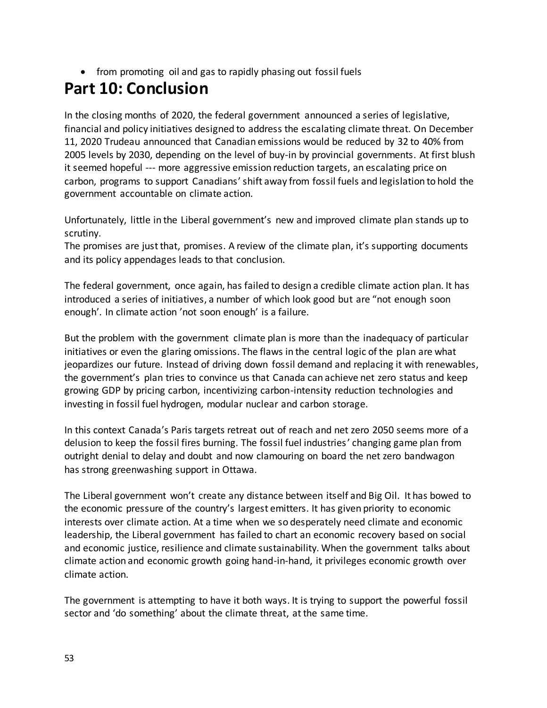• from promoting oil and gas to rapidly phasing out fossil fuels

# **Part 10: Conclusion**

In the closing months of 2020, the federal government announced a series of legislative, financial and policy initiatives designed to address the escalating climate threat. On December 11, 2020 Trudeau announced that Canadian emissions would be reduced by 32 to 40% from 2005 levels by 2030, depending on the level of buy-in by provincial governments. At first blush it seemed hopeful --- more aggressive emission reduction targets, an escalating price on carbon, programs to support Canadians' shift away from fossil fuels and legislation to hold the government accountable on climate action.

Unfortunately, little in the Liberal government's new and improved climate plan stands up to scrutiny.

The promises are just that, promises. A review of the climate plan, it's supporting documents and its policy appendages leads to that conclusion.

The federal government, once again, has failed to design a credible climate action plan. It has introduced a series of initiatives, a number of which look good but are "not enough soon enough'. In climate action 'not soon enough' is a failure.

But the problem with the government climate plan is more than the inadequacy of particular initiatives or even the glaring omissions. The flaws in the central logic of the plan are what jeopardizes our future. Instead of driving down fossil demand and replacing it with renewables, the government's plan tries to convince us that Canada can achieve net zero status and keep growing GDP by pricing carbon, incentivizing carbon-intensity reduction technologies and investing in fossil fuel hydrogen, modular nuclear and carbon storage.

In this context Canada's Paris targets retreat out of reach and net zero 2050 seems more of a delusion to keep the fossil fires burning. The fossil fuel industries' changing game plan from outright denial to delay and doubt and now clamouring on board the net zero bandwagon has strong greenwashing support in Ottawa.

The Liberal government won't create any distance between itself and Big Oil. It has bowed to the economic pressure of the country's largest emitters. It has given priority to economic interests over climate action. At a time when we so desperately need climate and economic leadership, the Liberal government has failed to chart an economic recovery based on social and economic justice, resilience and climate sustainability. When the government talks about climate action and economic growth going hand-in-hand, it privileges economic growth over climate action.

The government is attempting to have it both ways. It is trying to support the powerful fossil sector and 'do something' about the climate threat, at the same time.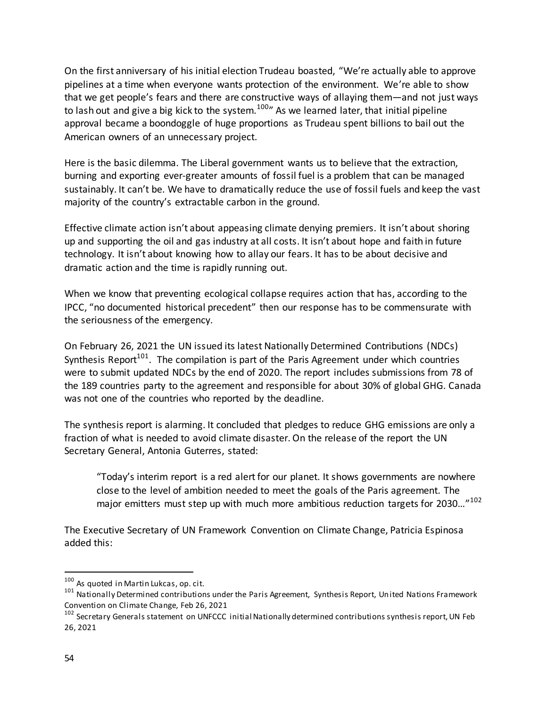On the first anniversary of his initial election Trudeau boasted, "We're actually able to approve pipelines at a time when everyone wants protection of the environment. We're able to show that we get people's fears and there are constructive ways of allaying them—and not just ways to lash out and give a big kick to the system.<sup>100</sup> As we learned later, that initial pipeline approval became a boondoggle of huge proportions as Trudeau spent billions to bail out the American owners of an unnecessary project.

Here is the basic dilemma. The Liberal government wants us to believe that the extraction, burning and exporting ever-greater amounts of fossil fuel is a problem that can be managed sustainably. It can't be. We have to dramatically reduce the use of fossil fuels and keep the vast majority of the country's extractable carbon in the ground.

Effective climate action isn't about appeasing climate denying premiers. It isn't about shoring up and supporting the oil and gas industry at all costs. It isn't about hope and faith in future technology. It isn't about knowing how to allay our fears. It has to be about decisive and dramatic action and the time is rapidly running out.

When we know that preventing ecological collapse requires action that has, according to the IPCC, "no documented historical precedent" then our response has to be commensurate with the seriousness of the emergency.

On February 26, 2021 the UN issued its latest Nationally Determined Contributions (NDCs) Synthesis Report<sup>101</sup>. The compilation is part of the Paris Agreement under which countries were to submit updated NDCs by the end of 2020. The report includes submissions from 78 of the 189 countries party to the agreement and responsible for about 30% of global GHG. Canada was not one of the countries who reported by the deadline.

The synthesis report is alarming. It concluded that pledges to reduce GHG emissions are only a fraction of what is needed to avoid climate disaster. On the release of the report the UN Secretary General, Antonia Guterres, stated:

"Today's interim report is a red alert for our planet. It shows governments are nowhere close to the level of ambition needed to meet the goals of the Paris agreement. The major emitters must step up with much more ambitious reduction targets for 2030..."<sup>102</sup>

The Executive Secretary of UN Framework Convention on Climate Change, Patricia Espinosa added this:

 $100$  As quoted in Martin Lukcas, op. cit.

<sup>&</sup>lt;sup>101</sup> Nationally Determined contributions under the Paris Agreement, Synthesis Report, United Nations Framework Convention on Climate Change, Feb 26, 2021

<sup>&</sup>lt;sup>102</sup> Secretary Generals statement on UNFCCC initial Nationally determined contributions synthesis report, UN Feb 26, 2021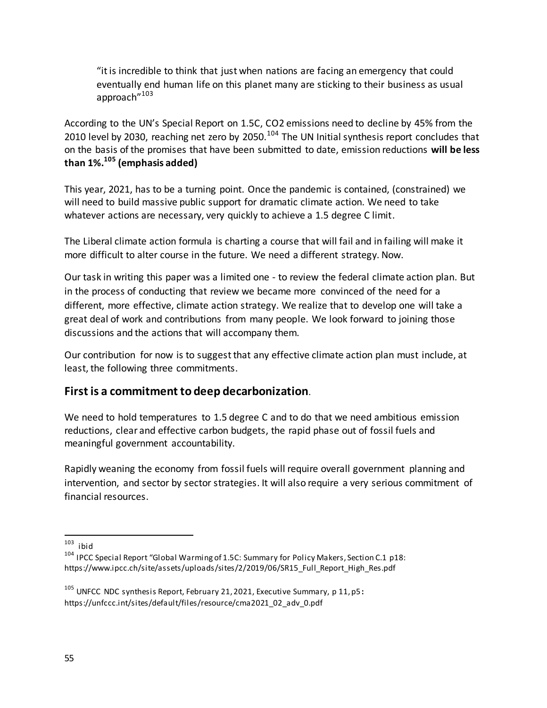"it is incredible to think that just when nations are facing an emergency that could eventually end human life on this planet many are sticking to their business as usual approach"<sup>103</sup>

According to the UN's Special Report on 1.5C, CO2 emissions need to decline by 45% from the 2010 level by 2030, reaching net zero by 2050.<sup>104</sup> The UN Initial synthesis report concludes that on the basis of the promises that have been submitted to date, emission reductions **will be less than 1%.<sup>105</sup> (emphasis added)** 

This year, 2021, has to be a turning point. Once the pandemic is contained, (constrained) we will need to build massive public support for dramatic climate action. We need to take whatever actions are necessary, very quickly to achieve a 1.5 degree C limit.

The Liberal climate action formula is charting a course that will fail and in failing will make it more difficult to alter course in the future. We need a different strategy. Now.

Our task in writing this paper was a limited one - to review the federal climate action plan. But in the process of conducting that review we became more convinced of the need for a different, more effective, climate action strategy. We realize that to develop one will take a great deal of work and contributions from many people. We look forward to joining those discussions and the actions that will accompany them.

Our contribution for now is to suggest that any effective climate action plan must include, at least, the following three commitments.

### **First is a commitment to deep decarbonization**.

We need to hold temperatures to 1.5 degree C and to do that we need ambitious emission reductions, clear and effective carbon budgets, the rapid phase out of fossil fuels and meaningful government accountability.

Rapidly weaning the economy from fossil fuels will require overall government planning and intervention, and sector by sector strategies. It will also require a very serious commitment of financial resources.

 $\frac{103}{103}$  ibid

<sup>&</sup>lt;sup>104</sup> IPCC Special Report "Global Warming of 1.5C: Summary for Policy Makers, Section C.1 p18: https://www.ipcc.ch/site/assets/uploads/sites/2/2019/06/SR15\_Full\_Report\_High\_Res.pdf

<sup>105</sup> UNFCC NDC synthesis Report, February 21, 2021, Executive Summary, p 11, p5**:** https://unfccc.int/sites/default/files/resource/cma2021\_02\_adv\_0.pdf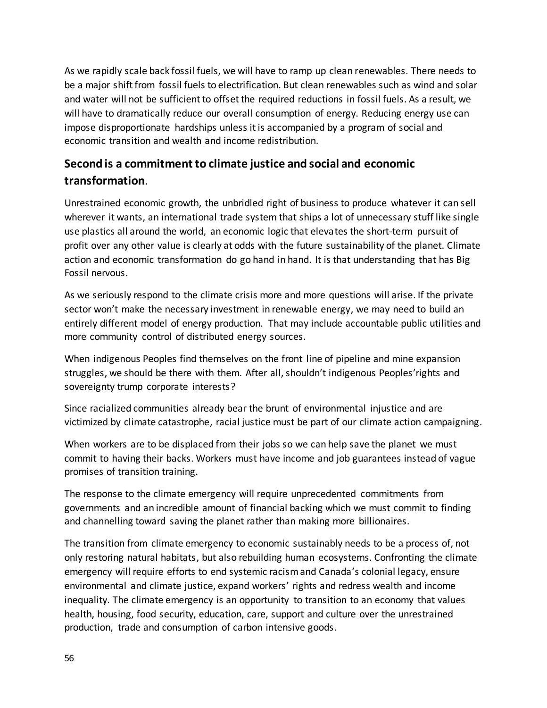As we rapidly scale back fossil fuels, we will have to ramp up clean renewables. There needs to be a major shift from fossil fuels to electrification. But clean renewables such as wind and solar and water will not be sufficient to offset the required reductions in fossil fuels. As a result, we will have to dramatically reduce our overall consumption of energy. Reducing energy use can impose disproportionate hardships unless it is accompanied by a program of social and economic transition and wealth and income redistribution.

### **Second is a commitment to climate justice and social and economic transformation**.

Unrestrained economic growth, the unbridled right of business to produce whatever it can sell wherever it wants, an international trade system that ships a lot of unnecessary stuff like single use plastics all around the world, an economic logic that elevates the short-term pursuit of profit over any other value is clearly at odds with the future sustainability of the planet. Climate action and economic transformation do go hand in hand. It is that understanding that has Big Fossil nervous.

As we seriously respond to the climate crisis more and more questions will arise. If the private sector won't make the necessary investment in renewable energy, we may need to build an entirely different model of energy production. That may include accountable public utilities and more community control of distributed energy sources.

When indigenous Peoples find themselves on the front line of pipeline and mine expansion struggles, we should be there with them. After all, shouldn't indigenous Peoples'rights and sovereignty trump corporate interests?

Since racialized communities already bear the brunt of environmental injustice and are victimized by climate catastrophe, racial justice must be part of our climate action campaigning.

When workers are to be displaced from their jobs so we can help save the planet we must commit to having their backs. Workers must have income and job guarantees instead of vague promises of transition training.

The response to the climate emergency will require unprecedented commitments from governments and an incredible amount of financial backing which we must commit to finding and channelling toward saving the planet rather than making more billionaires.

The transition from climate emergency to economic sustainably needs to be a process of, not only restoring natural habitats, but also rebuilding human ecosystems. Confronting the climate emergency will require efforts to end systemic racism and Canada's colonial legacy, ensure environmental and climate justice, expand workers' rights and redress wealth and income inequality. The climate emergency is an opportunity to transition to an economy that values health, housing, food security, education, care, support and culture over the unrestrained production, trade and consumption of carbon intensive goods.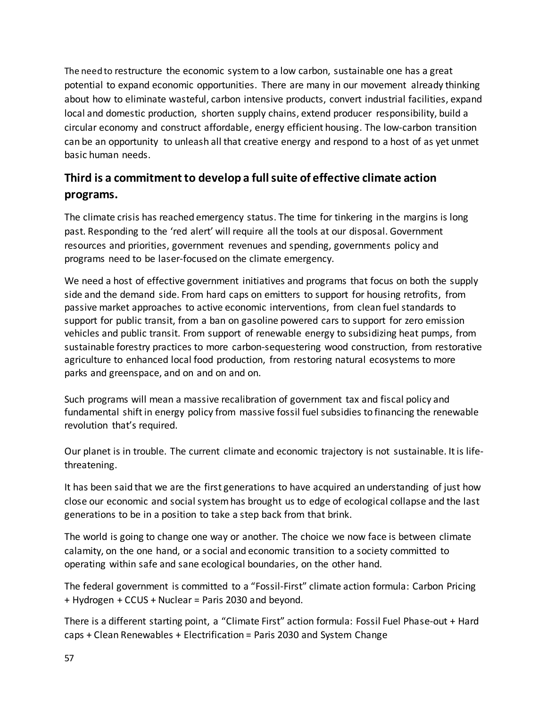The need to restructure the economic system to a low carbon, sustainable one has a great potential to expand economic opportunities. There are many in our movement already thinking about how to eliminate wasteful, carbon intensive products, convert industrial facilities, expand local and domestic production, shorten supply chains, extend producer responsibility, build a circular economy and construct affordable, energy efficient housing. The low-carbon transition can be an opportunity to unleash all that creative energy and respond to a host of as yet unmet basic human needs.

## **Third is a commitment to develop a full suite of effective climate action programs.**

The climate crisis has reached emergency status. The time for tinkering in the margins is long past. Responding to the 'red alert' will require all the tools at our disposal. Government resources and priorities, government revenues and spending, governments policy and programs need to be laser-focused on the climate emergency.

We need a host of effective government initiatives and programs that focus on both the supply side and the demand side. From hard caps on emitters to support for housing retrofits, from passive market approaches to active economic interventions, from clean fuel standards to support for public transit, from a ban on gasoline powered cars to support for zero emission vehicles and public transit. From support of renewable energy to subsidizing heat pumps, from sustainable forestry practices to more carbon-sequestering wood construction, from restorative agriculture to enhanced local food production, from restoring natural ecosystems to more parks and greenspace, and on and on and on.

Such programs will mean a massive recalibration of government tax and fiscal policy and fundamental shift in energy policy from massive fossil fuel subsidies to financing the renewable revolution that's required.

Our planet is in trouble. The current climate and economic trajectory is not sustainable. It is lifethreatening.

It has been said that we are the first generations to have acquired an understanding of just how close our economic and social system has brought us to edge of ecological collapse and the last generations to be in a position to take a step back from that brink.

The world is going to change one way or another. The choice we now face is between climate calamity, on the one hand, or a social and economic transition to a society committed to operating within safe and sane ecological boundaries, on the other hand.

The federal government is committed to a "Fossil-First" climate action formula: Carbon Pricing + Hydrogen + CCUS + Nuclear = Paris 2030 and beyond.

There is a different starting point, a "Climate First" action formula: Fossil Fuel Phase-out + Hard caps + Clean Renewables + Electrification = Paris 2030 and System Change